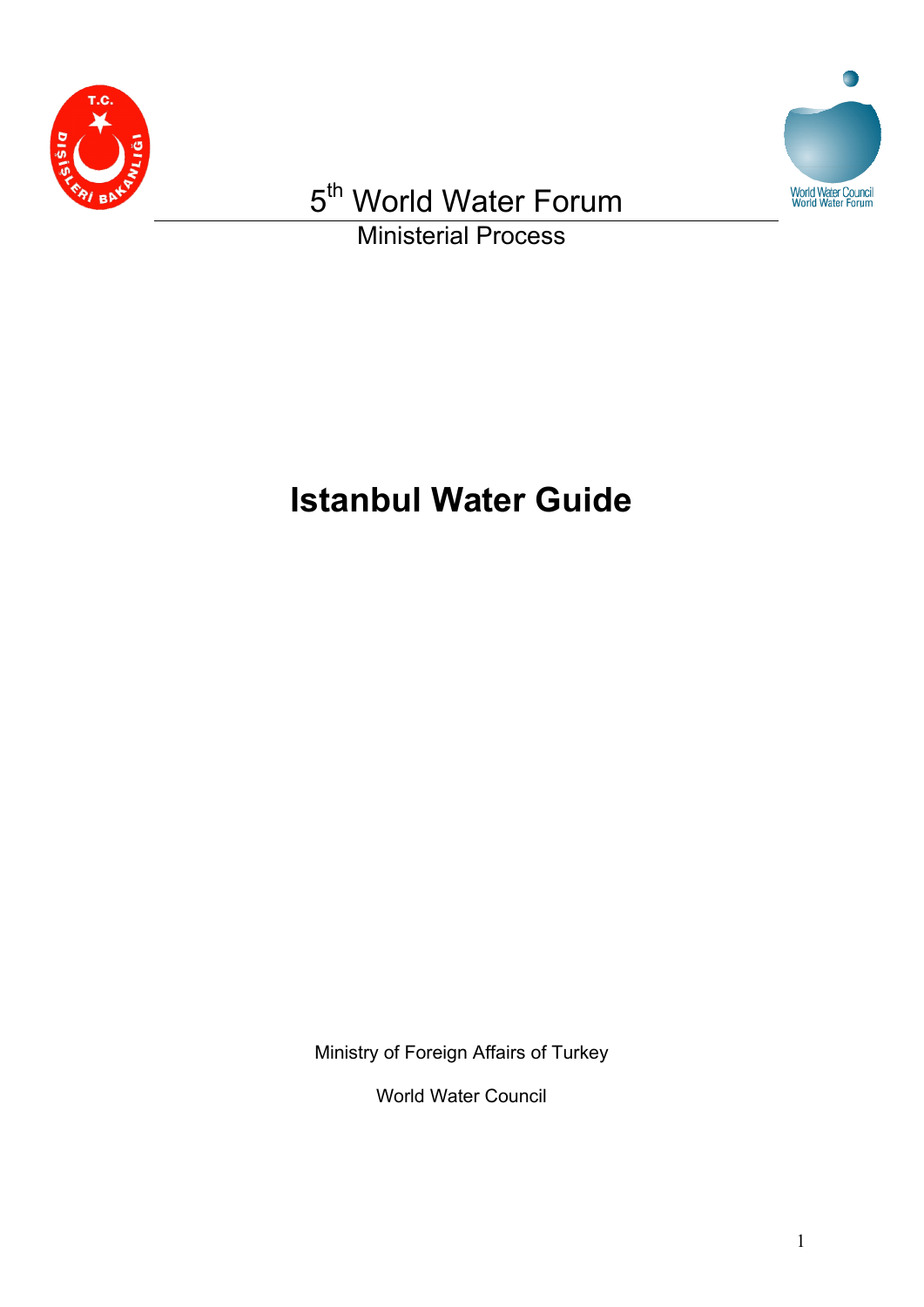



Ministerial Process

# **Istanbul Water Guide**

Ministry of Foreign Affairs of Turkey

World Water Council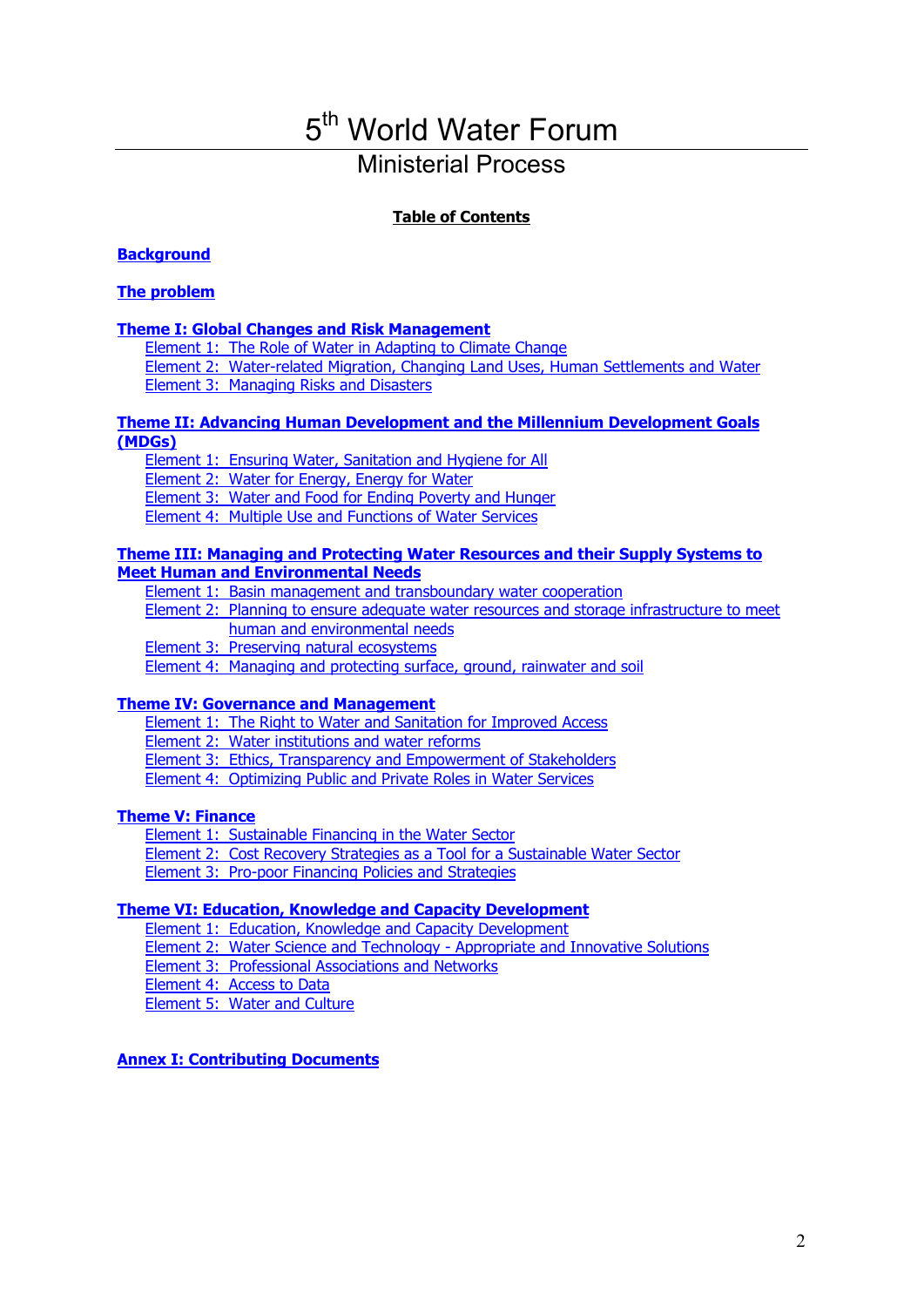### Ministerial Process

### **Table of Contents**

### **[Background](#page-2-0)**

### **[The problem](#page-2-0)**

### **[Theme I: Global Changes and Risk Management](#page-4-0)**

[Element 1: The Role of Water in Adapting to Climate Change](#page-4-0) [Element 2: Water-related Migration, Changing Land Uses, Human Settlements and Water](#page-5-0) [Element 3: Managing Risks and Disasters](#page-6-0)

### **[Theme II: Advancing Human Development and the Millennium Development Goals](#page-7-0)  [\(MDGs\)](#page-7-0)**

[Element 1: Ensuring Water, Sanitation and Hygiene for All](#page-7-0)

[Element 2: Water for Energy, Energy for Water](#page-8-0)

[Element 3: Water and Food for Ending Poverty and Hunger](#page-9-0)

[Element 4: Multiple Use and Functions of Water Services](#page-10-0)

#### **[Theme III: Managing and Protecting Water Resources and their Supply Systems to](#page-12-0)  [Meet Human and Environmental Needs](#page-12-0)**

[Element 1: Basin management and transboundary water cooperation](#page-12-0)

[Element 2: Planning to ensure adequate water resources and storage infrastructure to meet](#page-13-0)  [human and environmental needs](#page-13-0)

[Element 3: Preserving natural ecosystems](#page-14-0)

[Element 4: Managing and protecting surface, ground, rainwater and soil](#page-15-0)

### **[Theme IV: Governance and Management](#page-16-0)**

[Element 1: The Right to Water and Sanitation for Improved Access](#page-16-0)

[Element 2: Water institutions and water reforms](#page-16-0)

[Element 3: Ethics, Transparency and Empowerment of Stakeholders](#page-17-0)

[Element 4: Optimizing Public and Private Roles in Water Services](#page-18-0)

### **[Theme V: Finance](#page-19-0)**

[Element 1: Sustainable Financing in the Water Sector](#page-19-0) [Element 2: Cost Recovery Strategies as a Tool for a Sustainable Water Sector](#page-21-0) [Element 3: Pro-poor Financing Policies and Strategies](#page-21-0)

### **[Theme VI: Education, Knowledge and Capacity Development](#page-22-0)**

[Element 1: Education, Knowledge and Capacity Development](#page-22-0)

[Element 2: Water Science and Technology - Appropriate and Innovative Solutions](#page-23-0)

[Element 3: Professional Associations and Networks](#page-23-0)

[Element 4: Access to Data](#page-24-0)

[Element 5: Water and Culture](#page-25-0)

### **[Annex I: Contributing Documents](#page-27-0)**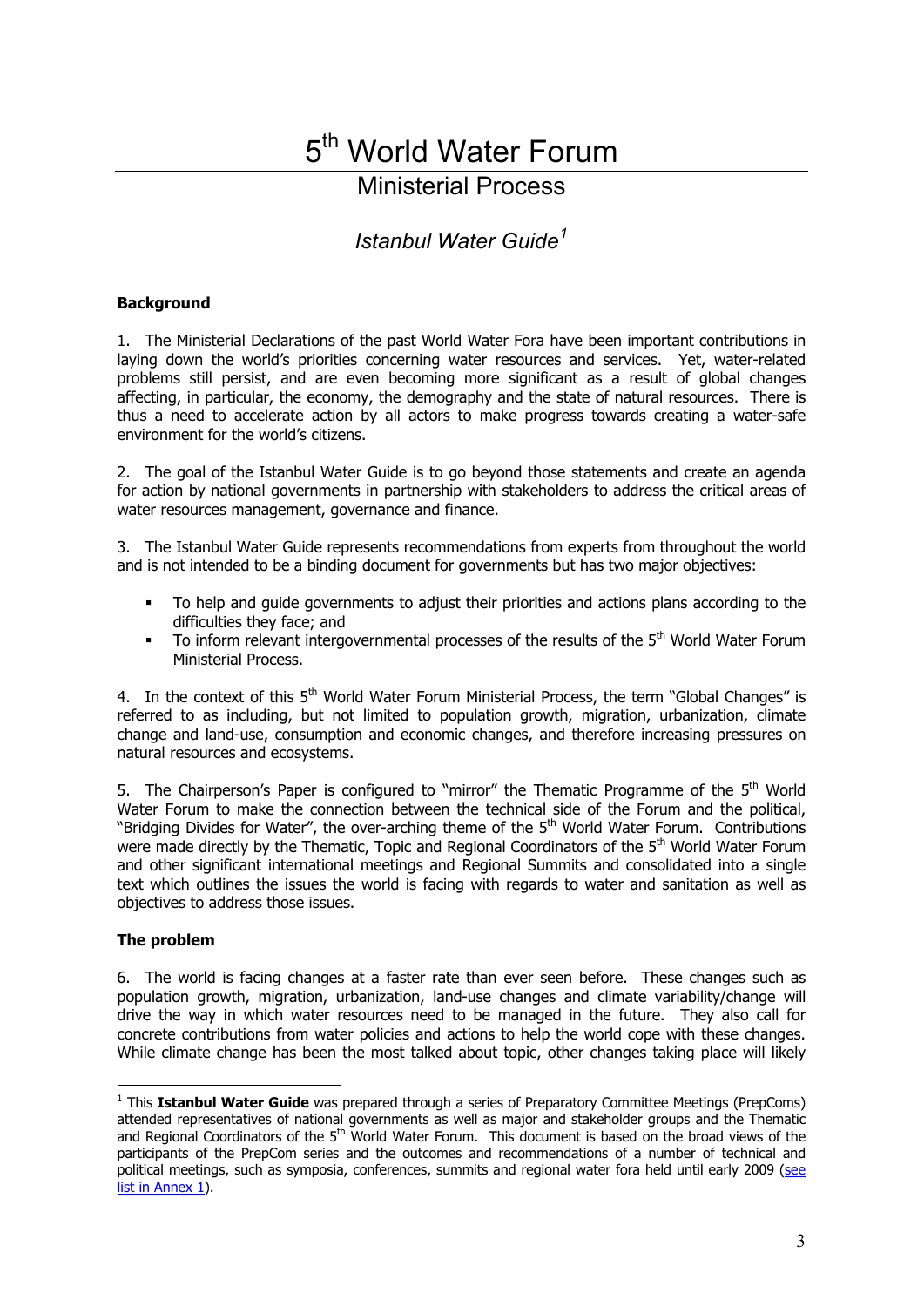### Ministerial Process

*Istanbul Water Guide[1](#page-2-1)*

### <span id="page-2-0"></span>**Background**

1. The Ministerial Declarations of the past World Water Fora have been important contributions in laying down the world's priorities concerning water resources and services. Yet, water-related problems still persist, and are even becoming more significant as a result of global changes affecting, in particular, the economy, the demography and the state of natural resources. There is thus a need to accelerate action by all actors to make progress towards creating a water-safe environment for the world's citizens.

2. The goal of the Istanbul Water Guide is to go beyond those statements and create an agenda for action by national governments in partnership with stakeholders to address the critical areas of water resources management, governance and finance.

3. The Istanbul Water Guide represents recommendations from experts from throughout the world and is not intended to be a binding document for governments but has two major objectives:

- To help and guide governments to adjust their priorities and actions plans according to the difficulties they face; and
- To inform relevant intergovernmental processes of the results of the 5<sup>th</sup> World Water Forum Ministerial Process.

4. In the context of this 5<sup>th</sup> World Water Forum Ministerial Process, the term "Global Changes" is referred to as including, but not limited to population growth, migration, urbanization, climate change and land-use, consumption and economic changes, and therefore increasing pressures on natural resources and ecosystems.

5. The Chairperson's Paper is configured to "mirror" the Thematic Programme of the  $5<sup>th</sup>$  World Water Forum to make the connection between the technical side of the Forum and the political, "Bridging Divides for Water", the over-arching theme of the 5<sup>th</sup> World Water Forum. Contributions were made directly by the Thematic, Topic and Regional Coordinators of the 5<sup>th</sup> World Water Forum and other significant international meetings and Regional Summits and consolidated into a single text which outlines the issues the world is facing with regards to water and sanitation as well as objectives to address those issues.

### **The problem**

 $\overline{a}$ 

6. The world is facing changes at a faster rate than ever seen before. These changes such as population growth, migration, urbanization, land-use changes and climate variability/change will drive the way in which water resources need to be managed in the future. They also call for concrete contributions from water policies and actions to help the world cope with these changes. While climate change has been the most talked about topic, other changes taking place will likely

<span id="page-2-1"></span><sup>&</sup>lt;sup>1</sup> This Istanbul Water Guide was prepared through a series of Preparatory Committee Meetings (PrepComs) attended representatives of national governments as well as major and stakeholder groups and the Thematic and Regional Coordinators of the 5<sup>th</sup> World Water Forum. This document is based on the broad views of the participants of the PrepCom series and the outcomes and recommendations of a number of technical and political meetings, such as symposia, conferences, summits and regional water fora held until early 2009 ([see](#page-27-0)  [list in Annex 1\)](#page-27-0).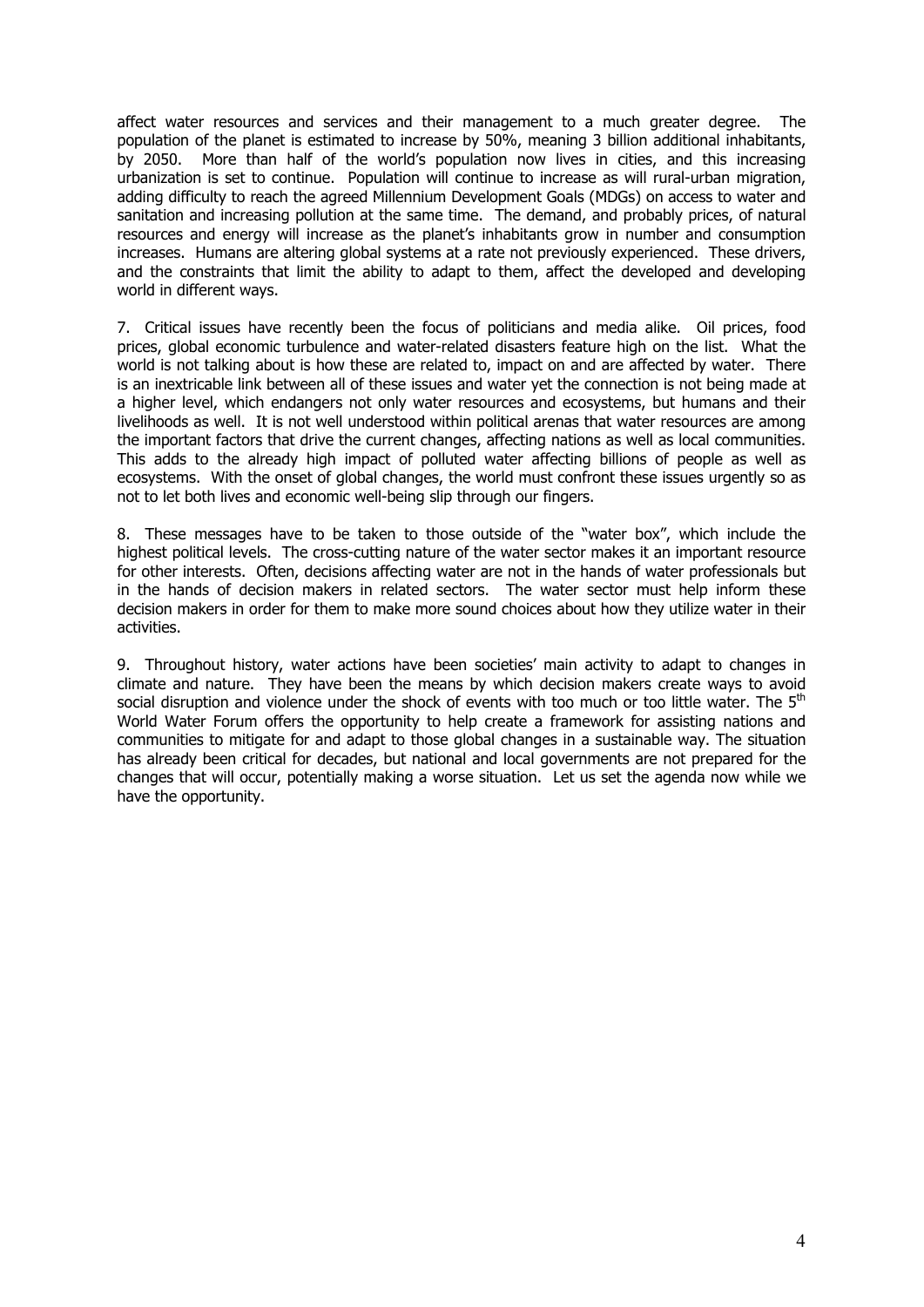affect water resources and services and their management to a much greater degree. The population of the planet is estimated to increase by 50%, meaning 3 billion additional inhabitants, by 2050. More than half of the world's population now lives in cities, and this increasing urbanization is set to continue. Population will continue to increase as will rural-urban migration, adding difficulty to reach the agreed Millennium Development Goals (MDGs) on access to water and sanitation and increasing pollution at the same time. The demand, and probably prices, of natural resources and energy will increase as the planet's inhabitants grow in number and consumption increases. Humans are altering global systems at a rate not previously experienced. These drivers, and the constraints that limit the ability to adapt to them, affect the developed and developing world in different ways.

7. Critical issues have recently been the focus of politicians and media alike. Oil prices, food prices, global economic turbulence and water-related disasters feature high on the list. What the world is not talking about is how these are related to, impact on and are affected by water. There is an inextricable link between all of these issues and water yet the connection is not being made at a higher level, which endangers not only water resources and ecosystems, but humans and their livelihoods as well. It is not well understood within political arenas that water resources are among the important factors that drive the current changes, affecting nations as well as local communities. This adds to the already high impact of polluted water affecting billions of people as well as ecosystems. With the onset of global changes, the world must confront these issues urgently so as not to let both lives and economic well-being slip through our fingers.

8. These messages have to be taken to those outside of the "water box", which include the highest political levels. The cross-cutting nature of the water sector makes it an important resource for other interests. Often, decisions affecting water are not in the hands of water professionals but in the hands of decision makers in related sectors. The water sector must help inform these decision makers in order for them to make more sound choices about how they utilize water in their activities.

9. Throughout history, water actions have been societies' main activity to adapt to changes in climate and nature. They have been the means by which decision makers create ways to avoid social disruption and violence under the shock of events with too much or too little water. The  $5<sup>th</sup>$ World Water Forum offers the opportunity to help create a framework for assisting nations and communities to mitigate for and adapt to those global changes in a sustainable way. The situation has already been critical for decades, but national and local governments are not prepared for the changes that will occur, potentially making a worse situation. Let us set the agenda now while we have the opportunity.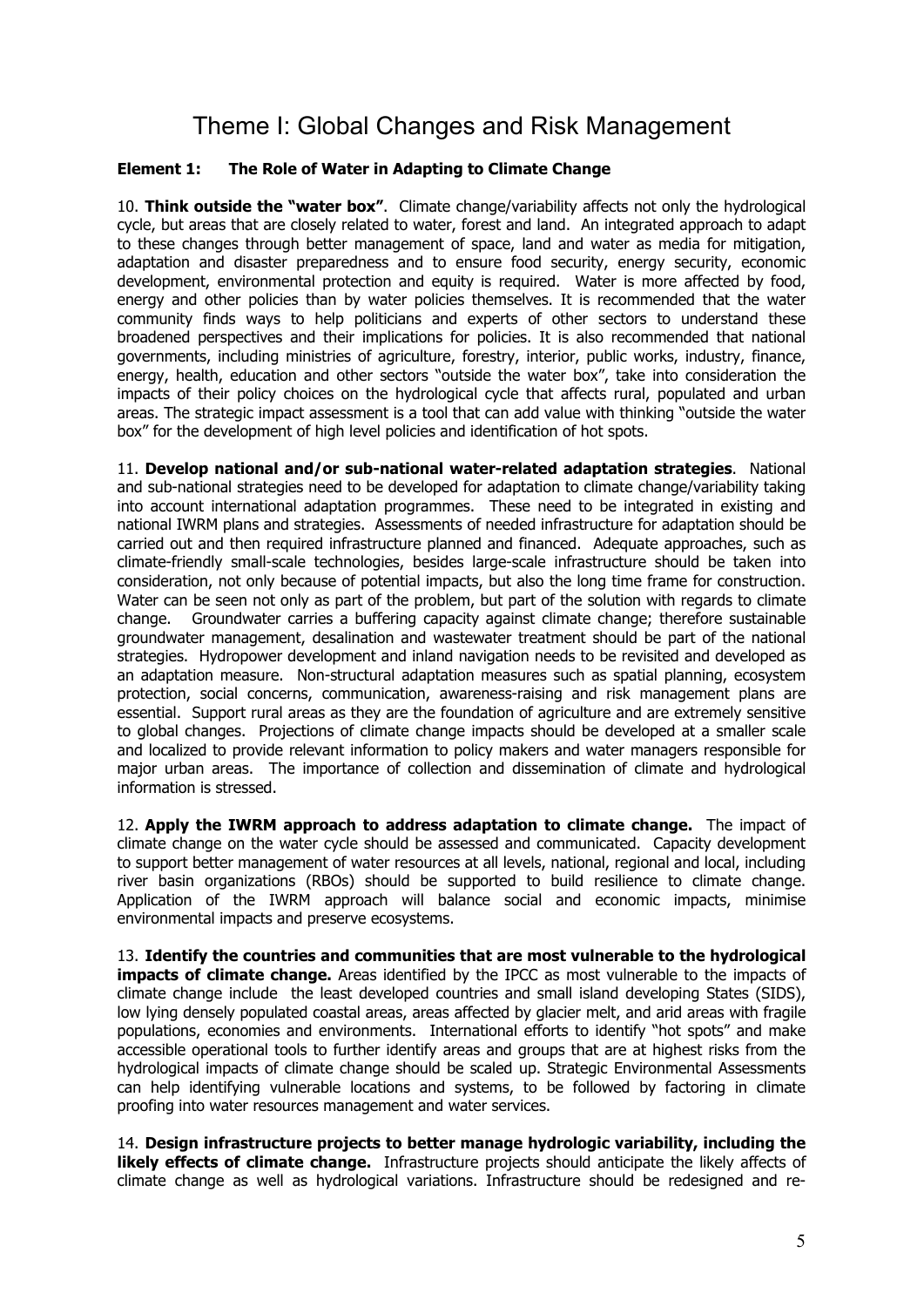### Theme I: Global Changes and Risk Management

### <span id="page-4-0"></span>**Element 1: The Role of Water in Adapting to Climate Change**

10. **Think outside the "water box"**. Climate change/variability affects not only the hydrological cycle, but areas that are closely related to water, forest and land. An integrated approach to adapt to these changes through better management of space, land and water as media for mitigation, adaptation and disaster preparedness and to ensure food security, energy security, economic development, environmental protection and equity is required. Water is more affected by food, energy and other policies than by water policies themselves. It is recommended that the water community finds ways to help politicians and experts of other sectors to understand these broadened perspectives and their implications for policies. It is also recommended that national governments, including ministries of agriculture, forestry, interior, public works, industry, finance, energy, health, education and other sectors "outside the water box", take into consideration the impacts of their policy choices on the hydrological cycle that affects rural, populated and urban areas. The strategic impact assessment is a tool that can add value with thinking "outside the water box" for the development of high level policies and identification of hot spots.

11. **Develop national and/or sub-national water-related adaptation strategies**. National and sub-national strategies need to be developed for adaptation to climate change/variability taking into account international adaptation programmes. These need to be integrated in existing and national IWRM plans and strategies. Assessments of needed infrastructure for adaptation should be carried out and then required infrastructure planned and financed. Adequate approaches, such as climate-friendly small-scale technologies, besides large-scale infrastructure should be taken into consideration, not only because of potential impacts, but also the long time frame for construction. Water can be seen not only as part of the problem, but part of the solution with regards to climate change. Groundwater carries a buffering capacity against climate change; therefore sustainable groundwater management, desalination and wastewater treatment should be part of the national strategies. Hydropower development and inland navigation needs to be revisited and developed as an adaptation measure. Non-structural adaptation measures such as spatial planning, ecosystem protection, social concerns, communication, awareness-raising and risk management plans are essential. Support rural areas as they are the foundation of agriculture and are extremely sensitive to global changes. Projections of climate change impacts should be developed at a smaller scale and localized to provide relevant information to policy makers and water managers responsible for major urban areas. The importance of collection and dissemination of climate and hydrological information is stressed.

12. **Apply the IWRM approach to address adaptation to climate change.** The impact of climate change on the water cycle should be assessed and communicated. Capacity development to support better management of water resources at all levels, national, regional and local, including river basin organizations (RBOs) should be supported to build resilience to climate change. Application of the IWRM approach will balance social and economic impacts, minimise environmental impacts and preserve ecosystems.

13. **Identify the countries and communities that are most vulnerable to the hydrological impacts of climate change.** Areas identified by the IPCC as most vulnerable to the impacts of climate change include the least developed countries and small island developing States (SIDS), low lying densely populated coastal areas, areas affected by glacier melt, and arid areas with fragile populations, economies and environments. International efforts to identify "hot spots" and make accessible operational tools to further identify areas and groups that are at highest risks from the hydrological impacts of climate change should be scaled up. Strategic Environmental Assessments can help identifying vulnerable locations and systems, to be followed by factoring in climate proofing into water resources management and water services.

14. **Design infrastructure projects to better manage hydrologic variability, including the likely effects of climate change.** Infrastructure projects should anticipate the likely affects of climate change as well as hydrological variations. Infrastructure should be redesigned and re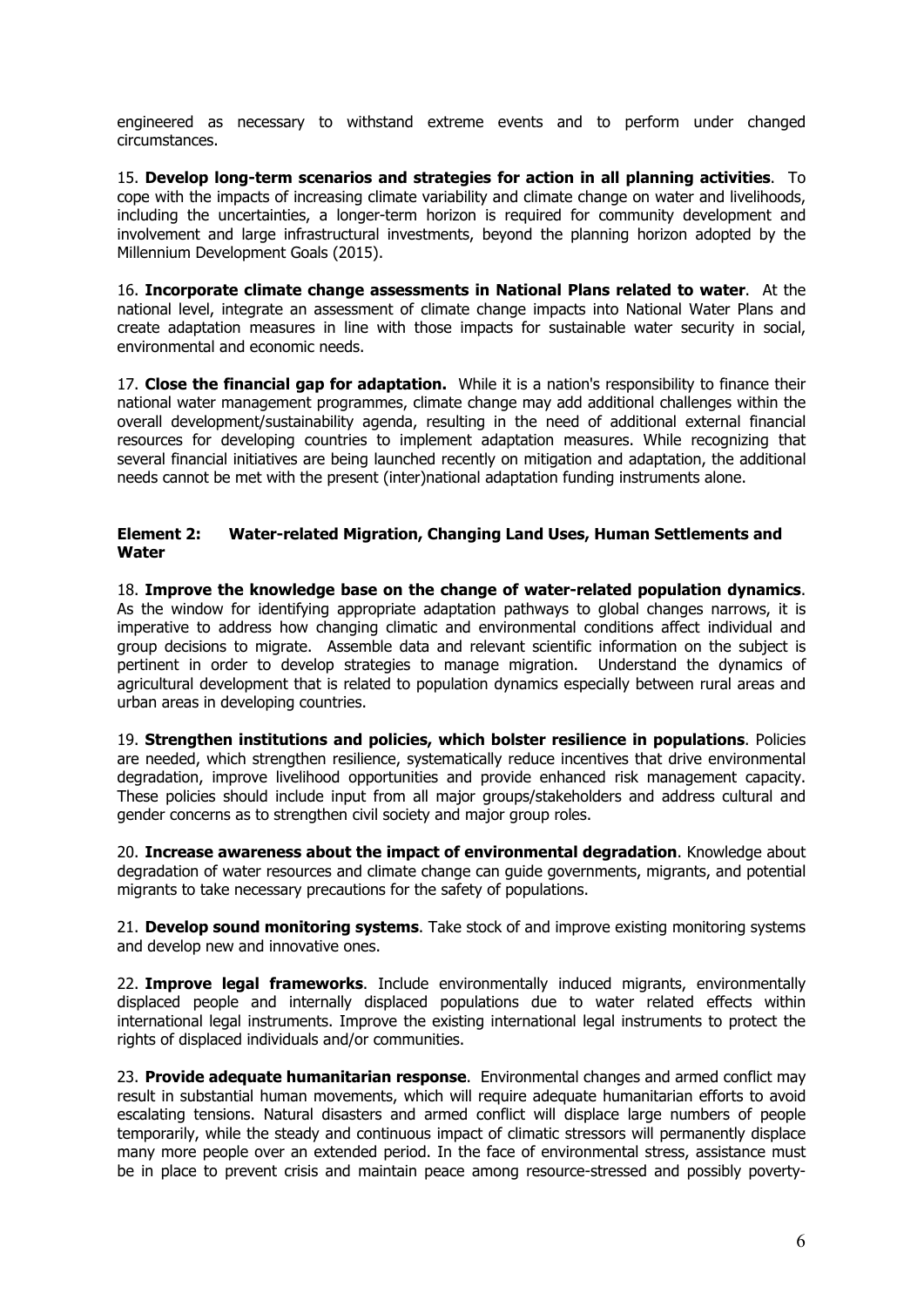<span id="page-5-0"></span>engineered as necessary to withstand extreme events and to perform under changed circumstances.

15. **Develop long-term scenarios and strategies for action in all planning activities**. To cope with the impacts of increasing climate variability and climate change on water and livelihoods, including the uncertainties, a longer-term horizon is required for community development and involvement and large infrastructural investments, beyond the planning horizon adopted by the Millennium Development Goals (2015).

16. **Incorporate climate change assessments in National Plans related to water**. At the national level, integrate an assessment of climate change impacts into National Water Plans and create adaptation measures in line with those impacts for sustainable water security in social, environmental and economic needs.

17. **Close the financial gap for adaptation.** While it is a nation's responsibility to finance their national water management programmes, climate change may add additional challenges within the overall development/sustainability agenda, resulting in the need of additional external financial resources for developing countries to implement adaptation measures. While recognizing that several financial initiatives are being launched recently on mitigation and adaptation, the additional needs cannot be met with the present (inter)national adaptation funding instruments alone.

### **Element 2: Water-related Migration, Changing Land Uses, Human Settlements and Water**

18. **Improve the knowledge base on the change of water-related population dynamics**. As the window for identifying appropriate adaptation pathways to global changes narrows, it is imperative to address how changing climatic and environmental conditions affect individual and group decisions to migrate. Assemble data and relevant scientific information on the subject is pertinent in order to develop strategies to manage migration. Understand the dynamics of agricultural development that is related to population dynamics especially between rural areas and urban areas in developing countries.

19. **Strengthen institutions and policies, which bolster resilience in populations**. Policies are needed, which strengthen resilience, systematically reduce incentives that drive environmental degradation, improve livelihood opportunities and provide enhanced risk management capacity. These policies should include input from all major groups/stakeholders and address cultural and gender concerns as to strengthen civil society and major group roles.

20. **Increase awareness about the impact of environmental degradation**. Knowledge about degradation of water resources and climate change can guide governments, migrants, and potential migrants to take necessary precautions for the safety of populations.

21. **Develop sound monitoring systems**. Take stock of and improve existing monitoring systems and develop new and innovative ones.

22. **Improve legal frameworks**. Include environmentally induced migrants, environmentally displaced people and internally displaced populations due to water related effects within international legal instruments. Improve the existing international legal instruments to protect the rights of displaced individuals and/or communities.

23. **Provide adequate humanitarian response**. Environmental changes and armed conflict may result in substantial human movements, which will require adequate humanitarian efforts to avoid escalating tensions. Natural disasters and armed conflict will displace large numbers of people temporarily, while the steady and continuous impact of climatic stressors will permanently displace many more people over an extended period. In the face of environmental stress, assistance must be in place to prevent crisis and maintain peace among resource-stressed and possibly poverty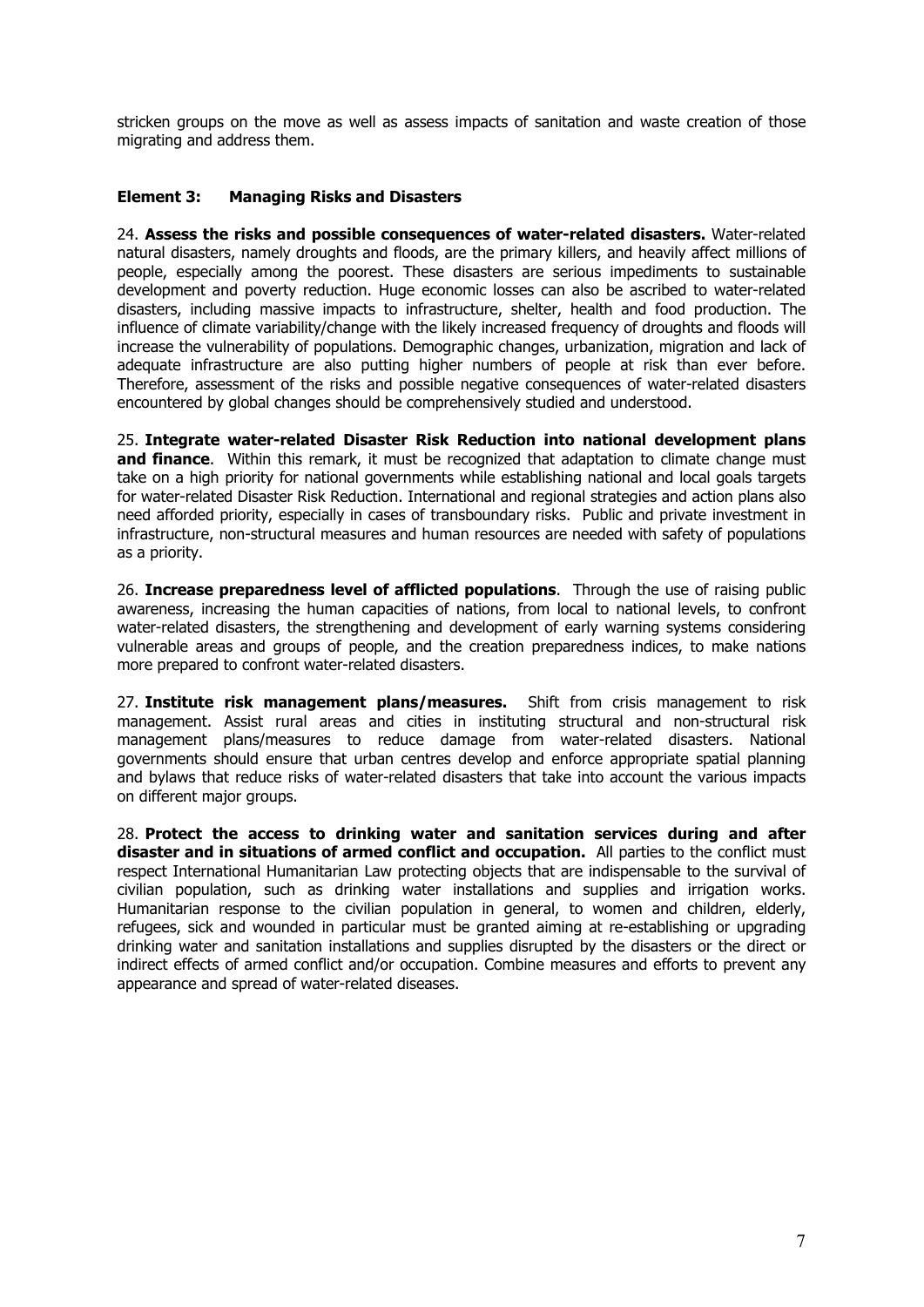<span id="page-6-0"></span>stricken groups on the move as well as assess impacts of sanitation and waste creation of those migrating and address them.

### **Element 3: Managing Risks and Disasters**

24. **Assess the risks and possible consequences of water-related disasters.** Water-related natural disasters, namely droughts and floods, are the primary killers, and heavily affect millions of people, especially among the poorest. These disasters are serious impediments to sustainable development and poverty reduction. Huge economic losses can also be ascribed to water-related disasters, including massive impacts to infrastructure, shelter, health and food production. The influence of climate variability/change with the likely increased frequency of droughts and floods will increase the vulnerability of populations. Demographic changes, urbanization, migration and lack of adequate infrastructure are also putting higher numbers of people at risk than ever before. Therefore, assessment of the risks and possible negative consequences of water-related disasters encountered by global changes should be comprehensively studied and understood.

25. **Integrate water-related Disaster Risk Reduction into national development plans and finance**. Within this remark, it must be recognized that adaptation to climate change must take on a high priority for national governments while establishing national and local goals targets for water-related Disaster Risk Reduction. International and regional strategies and action plans also need afforded priority, especially in cases of transboundary risks. Public and private investment in infrastructure, non-structural measures and human resources are needed with safety of populations as a priority.

26. **Increase preparedness level of afflicted populations**. Through the use of raising public awareness, increasing the human capacities of nations, from local to national levels, to confront water-related disasters, the strengthening and development of early warning systems considering vulnerable areas and groups of people, and the creation preparedness indices, to make nations more prepared to confront water-related disasters.

27. **Institute risk management plans/measures.** Shift from crisis management to risk management. Assist rural areas and cities in instituting structural and non-structural risk management plans/measures to reduce damage from water-related disasters. National governments should ensure that urban centres develop and enforce appropriate spatial planning and bylaws that reduce risks of water-related disasters that take into account the various impacts on different major groups.

28. **Protect the access to drinking water and sanitation services during and after disaster and in situations of armed conflict and occupation.** All parties to the conflict must respect International Humanitarian Law protecting objects that are indispensable to the survival of civilian population, such as drinking water installations and supplies and irrigation works. Humanitarian response to the civilian population in general, to women and children, elderly, refugees, sick and wounded in particular must be granted aiming at re-establishing or upgrading drinking water and sanitation installations and supplies disrupted by the disasters or the direct or indirect effects of armed conflict and/or occupation. Combine measures and efforts to prevent any appearance and spread of water-related diseases.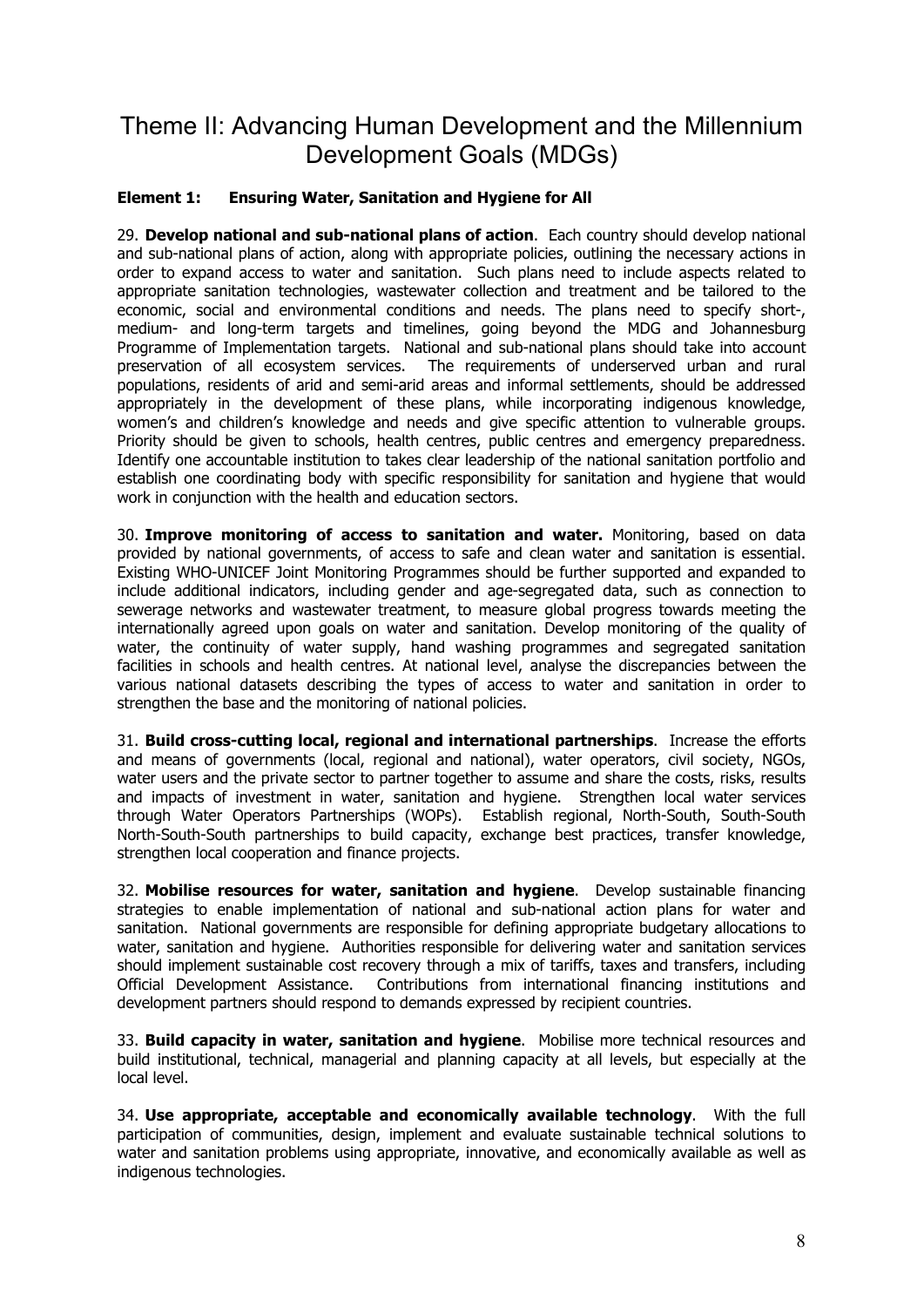### <span id="page-7-0"></span>Theme II: Advancing Human Development and the Millennium Development Goals (MDGs)

### **Element 1: Ensuring Water, Sanitation and Hygiene for All**

29. **Develop national and sub-national plans of action**. Each country should develop national and sub-national plans of action, along with appropriate policies, outlining the necessary actions in order to expand access to water and sanitation. Such plans need to include aspects related to appropriate sanitation technologies, wastewater collection and treatment and be tailored to the economic, social and environmental conditions and needs. The plans need to specify short-, medium- and long-term targets and timelines, going beyond the MDG and Johannesburg Programme of Implementation targets. National and sub-national plans should take into account preservation of all ecosystem services. The requirements of underserved urban and rural populations, residents of arid and semi-arid areas and informal settlements, should be addressed appropriately in the development of these plans, while incorporating indigenous knowledge, women's and children's knowledge and needs and give specific attention to vulnerable groups. Priority should be given to schools, health centres, public centres and emergency preparedness. Identify one accountable institution to takes clear leadership of the national sanitation portfolio and establish one coordinating body with specific responsibility for sanitation and hygiene that would work in conjunction with the health and education sectors.

30. **Improve monitoring of access to sanitation and water.** Monitoring, based on data provided by national governments, of access to safe and clean water and sanitation is essential. Existing WHO-UNICEF Joint Monitoring Programmes should be further supported and expanded to include additional indicators, including gender and age-segregated data, such as connection to sewerage networks and wastewater treatment, to measure global progress towards meeting the internationally agreed upon goals on water and sanitation. Develop monitoring of the quality of water, the continuity of water supply, hand washing programmes and segregated sanitation facilities in schools and health centres. At national level, analyse the discrepancies between the various national datasets describing the types of access to water and sanitation in order to strengthen the base and the monitoring of national policies.

31. **Build cross-cutting local, regional and international partnerships**. Increase the efforts and means of governments (local, regional and national), water operators, civil society, NGOs, water users and the private sector to partner together to assume and share the costs, risks, results and impacts of investment in water, sanitation and hygiene. Strengthen local water services through Water Operators Partnerships (WOPs). Establish regional, North-South, South-South North-South-South partnerships to build capacity, exchange best practices, transfer knowledge, strengthen local cooperation and finance projects.

32. **Mobilise resources for water, sanitation and hygiene**. Develop sustainable financing strategies to enable implementation of national and sub-national action plans for water and sanitation. National governments are responsible for defining appropriate budgetary allocations to water, sanitation and hygiene. Authorities responsible for delivering water and sanitation services should implement sustainable cost recovery through a mix of tariffs, taxes and transfers, including Official Development Assistance. Contributions from international financing institutions and development partners should respond to demands expressed by recipient countries.

33. **Build capacity in water, sanitation and hygiene**. Mobilise more technical resources and build institutional, technical, managerial and planning capacity at all levels, but especially at the local level.

34. **Use appropriate, acceptable and economically available technology**. With the full participation of communities, design, implement and evaluate sustainable technical solutions to water and sanitation problems using appropriate, innovative, and economically available as well as indigenous technologies.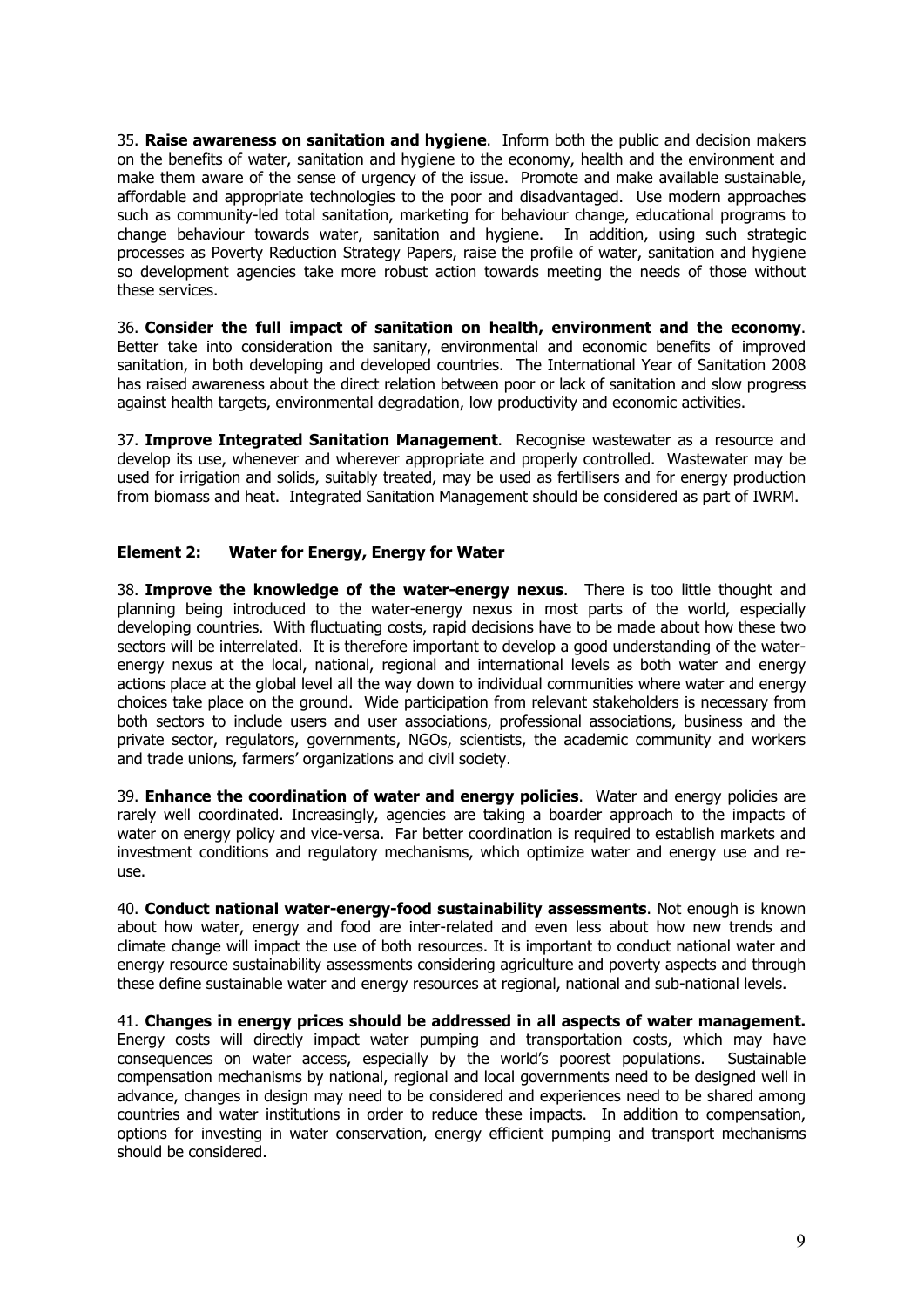<span id="page-8-0"></span>35. **Raise awareness on sanitation and hygiene**. Inform both the public and decision makers on the benefits of water, sanitation and hygiene to the economy, health and the environment and make them aware of the sense of urgency of the issue. Promote and make available sustainable, affordable and appropriate technologies to the poor and disadvantaged. Use modern approaches such as community-led total sanitation, marketing for behaviour change, educational programs to change behaviour towards water, sanitation and hygiene. In addition, using such strategic processes as Poverty Reduction Strategy Papers, raise the profile of water, sanitation and hygiene so development agencies take more robust action towards meeting the needs of those without these services.

36. **Consider the full impact of sanitation on health, environment and the economy**. Better take into consideration the sanitary, environmental and economic benefits of improved sanitation, in both developing and developed countries. The International Year of Sanitation 2008 has raised awareness about the direct relation between poor or lack of sanitation and slow progress against health targets, environmental degradation, low productivity and economic activities.

37. **Improve Integrated Sanitation Management**. Recognise wastewater as a resource and develop its use, whenever and wherever appropriate and properly controlled. Wastewater may be used for irrigation and solids, suitably treated, may be used as fertilisers and for energy production from biomass and heat. Integrated Sanitation Management should be considered as part of IWRM.

### **Element 2: Water for Energy, Energy for Water**

38. **Improve the knowledge of the water-energy nexus**. There is too little thought and planning being introduced to the water-energy nexus in most parts of the world, especially developing countries. With fluctuating costs, rapid decisions have to be made about how these two sectors will be interrelated. It is therefore important to develop a good understanding of the waterenergy nexus at the local, national, regional and international levels as both water and energy actions place at the global level all the way down to individual communities where water and energy choices take place on the ground. Wide participation from relevant stakeholders is necessary from both sectors to include users and user associations, professional associations, business and the private sector, regulators, governments, NGOs, scientists, the academic community and workers and trade unions, farmers' organizations and civil society.

39. **Enhance the coordination of water and energy policies**. Water and energy policies are rarely well coordinated. Increasingly, agencies are taking a boarder approach to the impacts of water on energy policy and vice-versa. Far better coordination is required to establish markets and investment conditions and regulatory mechanisms, which optimize water and energy use and reuse.

40. **Conduct national water-energy-food sustainability assessments**. Not enough is known about how water, energy and food are inter-related and even less about how new trends and climate change will impact the use of both resources. It is important to conduct national water and energy resource sustainability assessments considering agriculture and poverty aspects and through these define sustainable water and energy resources at regional, national and sub-national levels.

41. **Changes in energy prices should be addressed in all aspects of water management.**  Energy costs will directly impact water pumping and transportation costs, which may have consequences on water access, especially by the world's poorest populations. Sustainable compensation mechanisms by national, regional and local governments need to be designed well in advance, changes in design may need to be considered and experiences need to be shared among countries and water institutions in order to reduce these impacts. In addition to compensation, options for investing in water conservation, energy efficient pumping and transport mechanisms should be considered.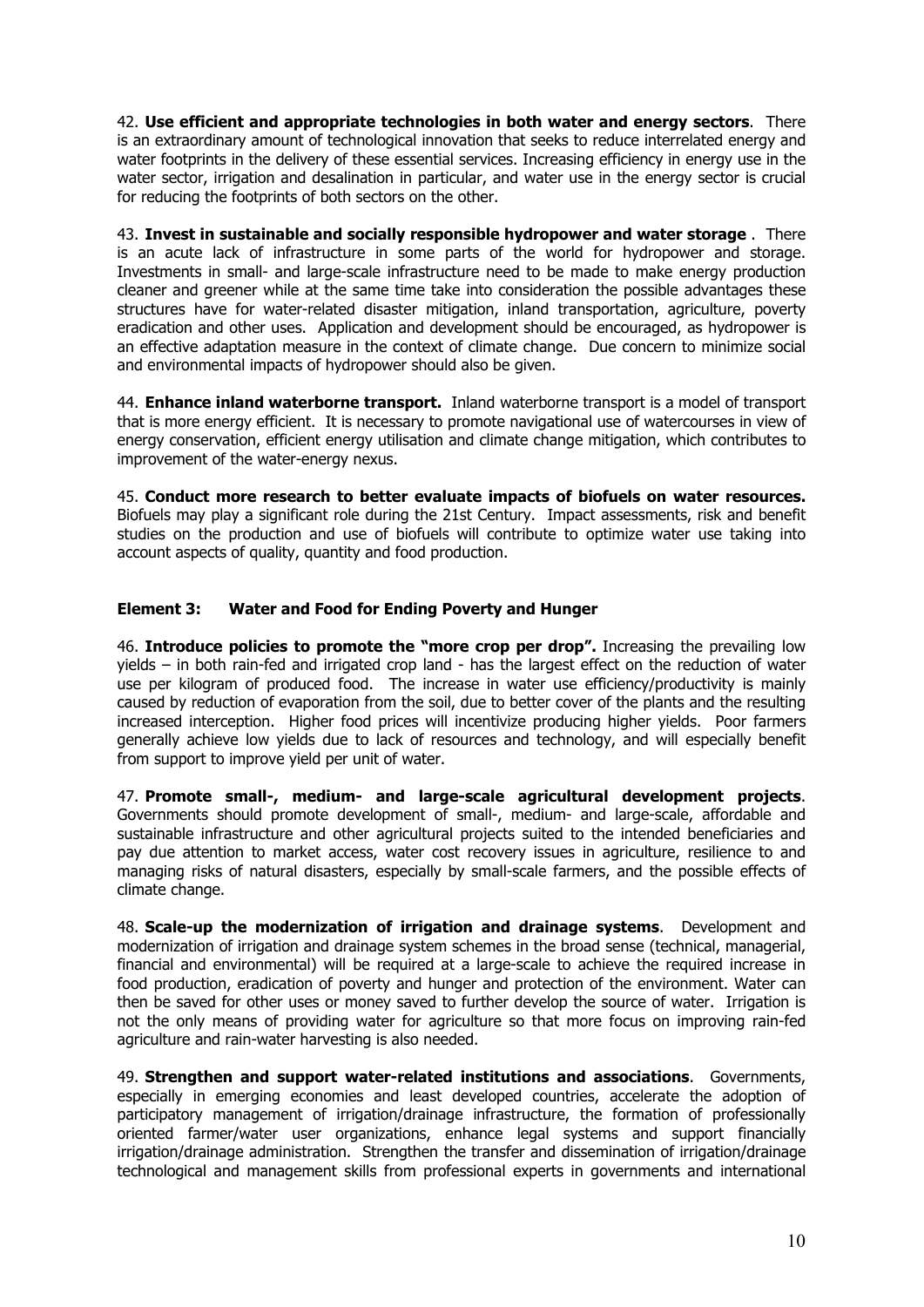<span id="page-9-0"></span>42. **Use efficient and appropriate technologies in both water and energy sectors**. There is an extraordinary amount of technological innovation that seeks to reduce interrelated energy and water footprints in the delivery of these essential services. Increasing efficiency in energy use in the water sector, irrigation and desalination in particular, and water use in the energy sector is crucial for reducing the footprints of both sectors on the other.

43. **Invest in sustainable and socially responsible hydropower and water storage** . There is an acute lack of infrastructure in some parts of the world for hydropower and storage. Investments in small- and large-scale infrastructure need to be made to make energy production cleaner and greener while at the same time take into consideration the possible advantages these structures have for water-related disaster mitigation, inland transportation, agriculture, poverty eradication and other uses. Application and development should be encouraged, as hydropower is an effective adaptation measure in the context of climate change. Due concern to minimize social and environmental impacts of hydropower should also be given.

44. **Enhance inland waterborne transport.** Inland waterborne transport is a model of transport that is more energy efficient. It is necessary to promote navigational use of watercourses in view of energy conservation, efficient energy utilisation and climate change mitigation, which contributes to improvement of the water-energy nexus.

45. **Conduct more research to better evaluate impacts of biofuels on water resources.** Biofuels may play a significant role during the 21st Century. Impact assessments, risk and benefit studies on the production and use of biofuels will contribute to optimize water use taking into account aspects of quality, quantity and food production.

### **Element 3: Water and Food for Ending Poverty and Hunger**

46. **Introduce policies to promote the "more crop per drop".** Increasing the prevailing low yields – in both rain-fed and irrigated crop land - has the largest effect on the reduction of water use per kilogram of produced food. The increase in water use efficiency/productivity is mainly caused by reduction of evaporation from the soil, due to better cover of the plants and the resulting increased interception. Higher food prices will incentivize producing higher yields. Poor farmers generally achieve low yields due to lack of resources and technology, and will especially benefit from support to improve yield per unit of water.

47. **Promote small-, medium- and large-scale agricultural development projects**. Governments should promote development of small-, medium- and large-scale, affordable and sustainable infrastructure and other agricultural projects suited to the intended beneficiaries and pay due attention to market access, water cost recovery issues in agriculture, resilience to and managing risks of natural disasters, especially by small-scale farmers, and the possible effects of climate change.

48. **Scale-up the modernization of irrigation and drainage systems**. Development and modernization of irrigation and drainage system schemes in the broad sense (technical, managerial, financial and environmental) will be required at a large-scale to achieve the required increase in food production, eradication of poverty and hunger and protection of the environment. Water can then be saved for other uses or money saved to further develop the source of water. Irrigation is not the only means of providing water for agriculture so that more focus on improving rain-fed agriculture and rain-water harvesting is also needed.

49. **Strengthen and support water-related institutions and associations**. Governments, especially in emerging economies and least developed countries, accelerate the adoption of participatory management of irrigation/drainage infrastructure, the formation of professionally oriented farmer/water user organizations, enhance legal systems and support financially irrigation/drainage administration. Strengthen the transfer and dissemination of irrigation/drainage technological and management skills from professional experts in governments and international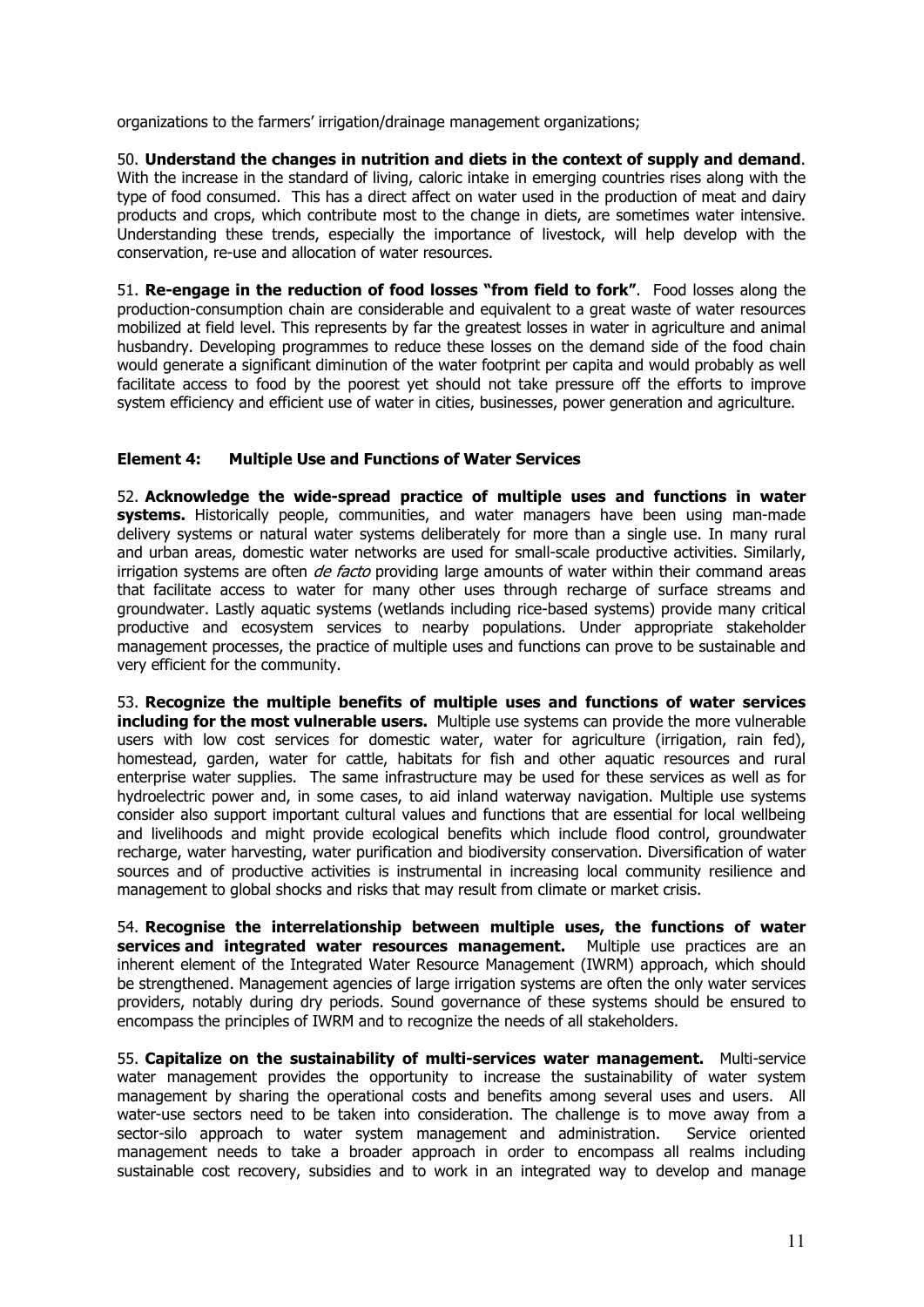<span id="page-10-0"></span>organizations to the farmers' irrigation/drainage management organizations;

50. **Understand the changes in nutrition and diets in the context of supply and demand**. With the increase in the standard of living, caloric intake in emerging countries rises along with the type of food consumed. This has a direct affect on water used in the production of meat and dairy products and crops, which contribute most to the change in diets, are sometimes water intensive. Understanding these trends, especially the importance of livestock, will help develop with the conservation, re-use and allocation of water resources.

51. **Re-engage in the reduction of food losses "from field to fork"**. Food losses along the production-consumption chain are considerable and equivalent to a great waste of water resources mobilized at field level. This represents by far the greatest losses in water in agriculture and animal husbandry. Developing programmes to reduce these losses on the demand side of the food chain would generate a significant diminution of the water footprint per capita and would probably as well facilitate access to food by the poorest yet should not take pressure off the efforts to improve system efficiency and efficient use of water in cities, businesses, power generation and agriculture.

### **Element 4: Multiple Use and Functions of Water Services**

52. **Acknowledge the wide-spread practice of multiple uses and functions in water**  systems. Historically people, communities, and water managers have been using man-made delivery systems or natural water systems deliberately for more than a single use. In many rural and urban areas, domestic water networks are used for small-scale productive activities. Similarly, irrigation systems are often *de facto* providing large amounts of water within their command areas that facilitate access to water for many other uses through recharge of surface streams and groundwater. Lastly aquatic systems (wetlands including rice-based systems) provide many critical productive and ecosystem services to nearby populations. Under appropriate stakeholder management processes, the practice of multiple uses and functions can prove to be sustainable and very efficient for the community.

53. **Recognize the multiple benefits of multiple uses and functions of water services including for the most vulnerable users.** Multiple use systems can provide the more vulnerable users with low cost services for domestic water, water for agriculture (irrigation, rain fed), homestead, garden, water for cattle, habitats for fish and other aquatic resources and rural enterprise water supplies. The same infrastructure may be used for these services as well as for hydroelectric power and, in some cases, to aid inland waterway navigation. Multiple use systems consider also support important cultural values and functions that are essential for local wellbeing and livelihoods and might provide ecological benefits which include flood control, groundwater recharge, water harvesting, water purification and biodiversity conservation. Diversification of water sources and of productive activities is instrumental in increasing local community resilience and management to global shocks and risks that may result from climate or market crisis.

54. **Recognise the interrelationship between multiple uses, the functions of water services and integrated water resources management.** Multiple use practices are an inherent element of the Integrated Water Resource Management (IWRM) approach, which should be strengthened. Management agencies of large irrigation systems are often the only water services providers, notably during dry periods. Sound governance of these systems should be ensured to encompass the principles of IWRM and to recognize the needs of all stakeholders.

55. **Capitalize on the sustainability of multi-services water management.** Multi-service water management provides the opportunity to increase the sustainability of water system management by sharing the operational costs and benefits among several uses and users. All water-use sectors need to be taken into consideration. The challenge is to move away from a sector-silo approach to water system management and administration. Service oriented management needs to take a broader approach in order to encompass all realms including sustainable cost recovery, subsidies and to work in an integrated way to develop and manage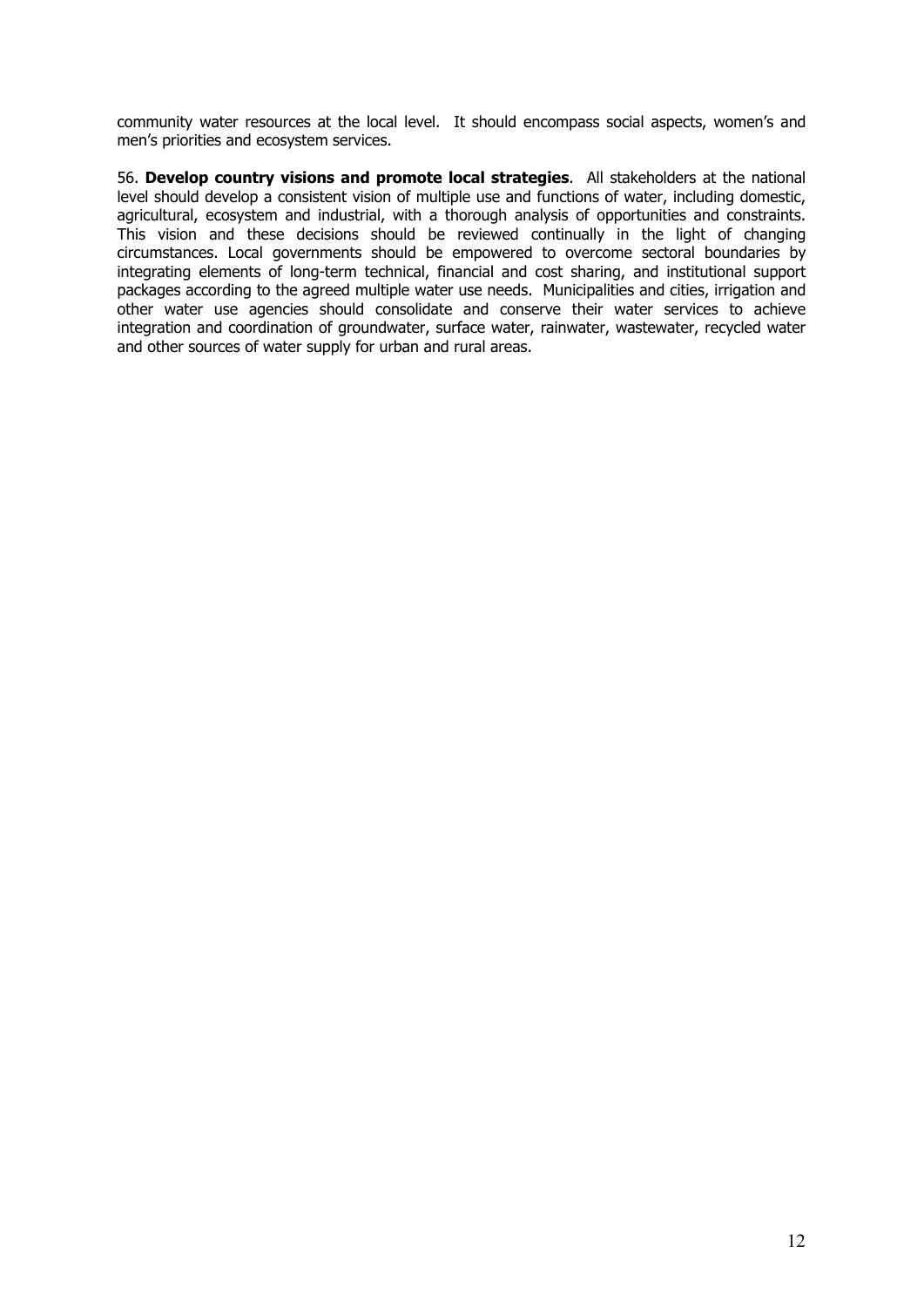community water resources at the local level. It should encompass social aspects, women's and men's priorities and ecosystem services.

56. **Develop country visions and promote local strategies**. All stakeholders at the national level should develop a consistent vision of multiple use and functions of water, including domestic, agricultural, ecosystem and industrial, with a thorough analysis of opportunities and constraints. This vision and these decisions should be reviewed continually in the light of changing circumstances. Local governments should be empowered to overcome sectoral boundaries by integrating elements of long-term technical, financial and cost sharing, and institutional support packages according to the agreed multiple water use needs. Municipalities and cities, irrigation and other water use agencies should consolidate and conserve their water services to achieve integration and coordination of groundwater, surface water, rainwater, wastewater, recycled water and other sources of water supply for urban and rural areas.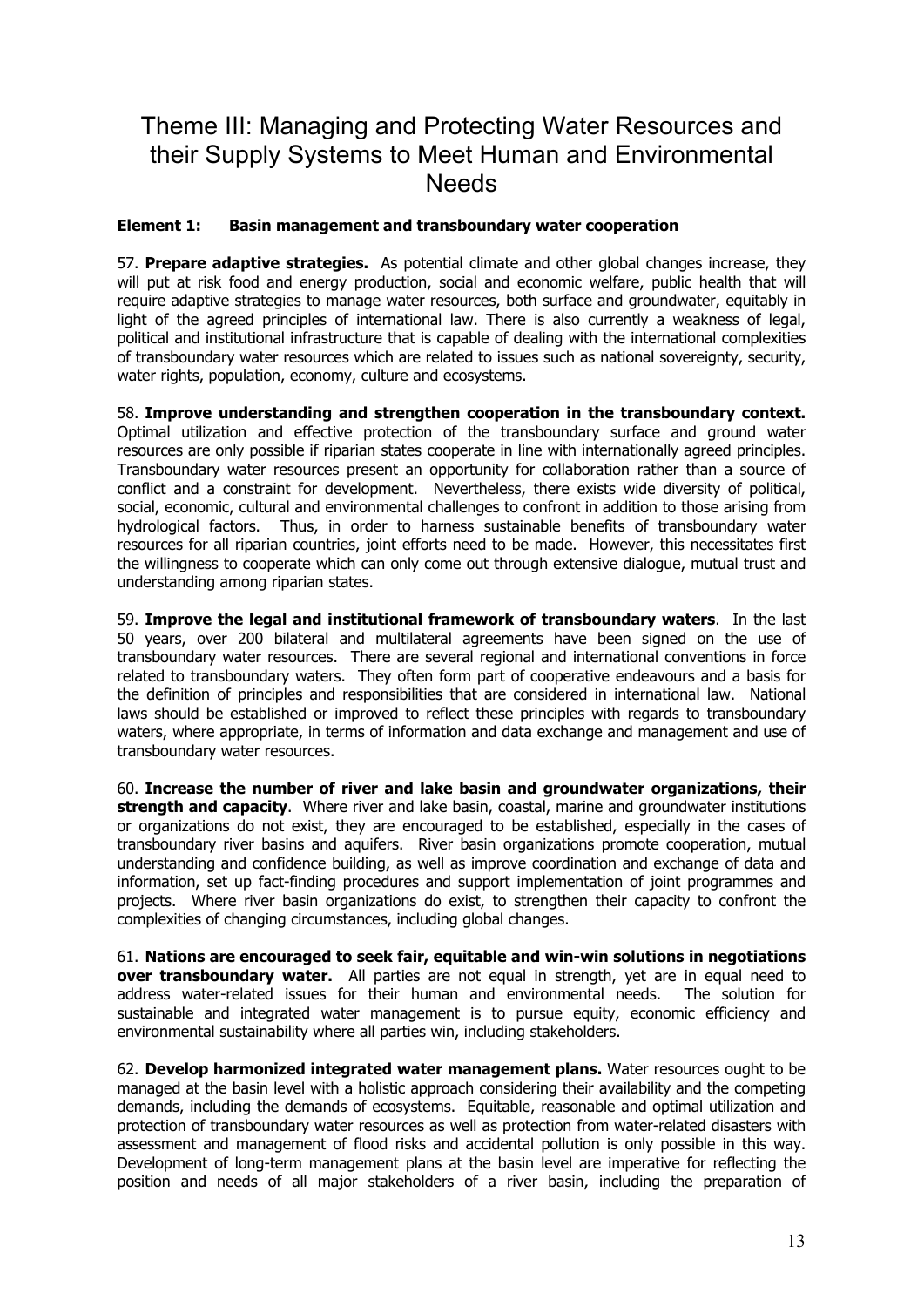### <span id="page-12-0"></span>Theme III: Managing and Protecting Water Resources and their Supply Systems to Meet Human and Environmental **Needs**

### **Element 1: Basin management and transboundary water cooperation**

57. **Prepare adaptive strategies.** As potential climate and other global changes increase, they will put at risk food and energy production, social and economic welfare, public health that will require adaptive strategies to manage water resources, both surface and groundwater, equitably in light of the agreed principles of international law. There is also currently a weakness of legal, political and institutional infrastructure that is capable of dealing with the international complexities of transboundary water resources which are related to issues such as national sovereignty, security, water rights, population, economy, culture and ecosystems.

58. **Improve understanding and strengthen cooperation in the transboundary context.**  Optimal utilization and effective protection of the transboundary surface and ground water resources are only possible if riparian states cooperate in line with internationally agreed principles. Transboundary water resources present an opportunity for collaboration rather than a source of conflict and a constraint for development. Nevertheless, there exists wide diversity of political, social, economic, cultural and environmental challenges to confront in addition to those arising from hydrological factors. Thus, in order to harness sustainable benefits of transboundary water resources for all riparian countries, joint efforts need to be made. However, this necessitates first the willingness to cooperate which can only come out through extensive dialogue, mutual trust and understanding among riparian states.

59. **Improve the legal and institutional framework of transboundary waters**. In the last 50 years, over 200 bilateral and multilateral agreements have been signed on the use of transboundary water resources. There are several regional and international conventions in force related to transboundary waters. They often form part of cooperative endeavours and a basis for the definition of principles and responsibilities that are considered in international law. National laws should be established or improved to reflect these principles with regards to transboundary waters, where appropriate, in terms of information and data exchange and management and use of transboundary water resources.

60. **Increase the number of river and lake basin and groundwater organizations, their strength and capacity**. Where river and lake basin, coastal, marine and groundwater institutions or organizations do not exist, they are encouraged to be established, especially in the cases of transboundary river basins and aquifers. River basin organizations promote cooperation, mutual understanding and confidence building, as well as improve coordination and exchange of data and information, set up fact-finding procedures and support implementation of joint programmes and projects. Where river basin organizations do exist, to strengthen their capacity to confront the complexities of changing circumstances, including global changes.

61. **Nations are encouraged to seek fair, equitable and win-win solutions in negotiations over transboundary water.** All parties are not equal in strength, yet are in equal need to address water-related issues for their human and environmental needs. The solution for sustainable and integrated water management is to pursue equity, economic efficiency and environmental sustainability where all parties win, including stakeholders.

62. **Develop harmonized integrated water management plans.** Water resources ought to be managed at the basin level with a holistic approach considering their availability and the competing demands, including the demands of ecosystems. Equitable, reasonable and optimal utilization and protection of transboundary water resources as well as protection from water-related disasters with assessment and management of flood risks and accidental pollution is only possible in this way. Development of long-term management plans at the basin level are imperative for reflecting the position and needs of all major stakeholders of a river basin, including the preparation of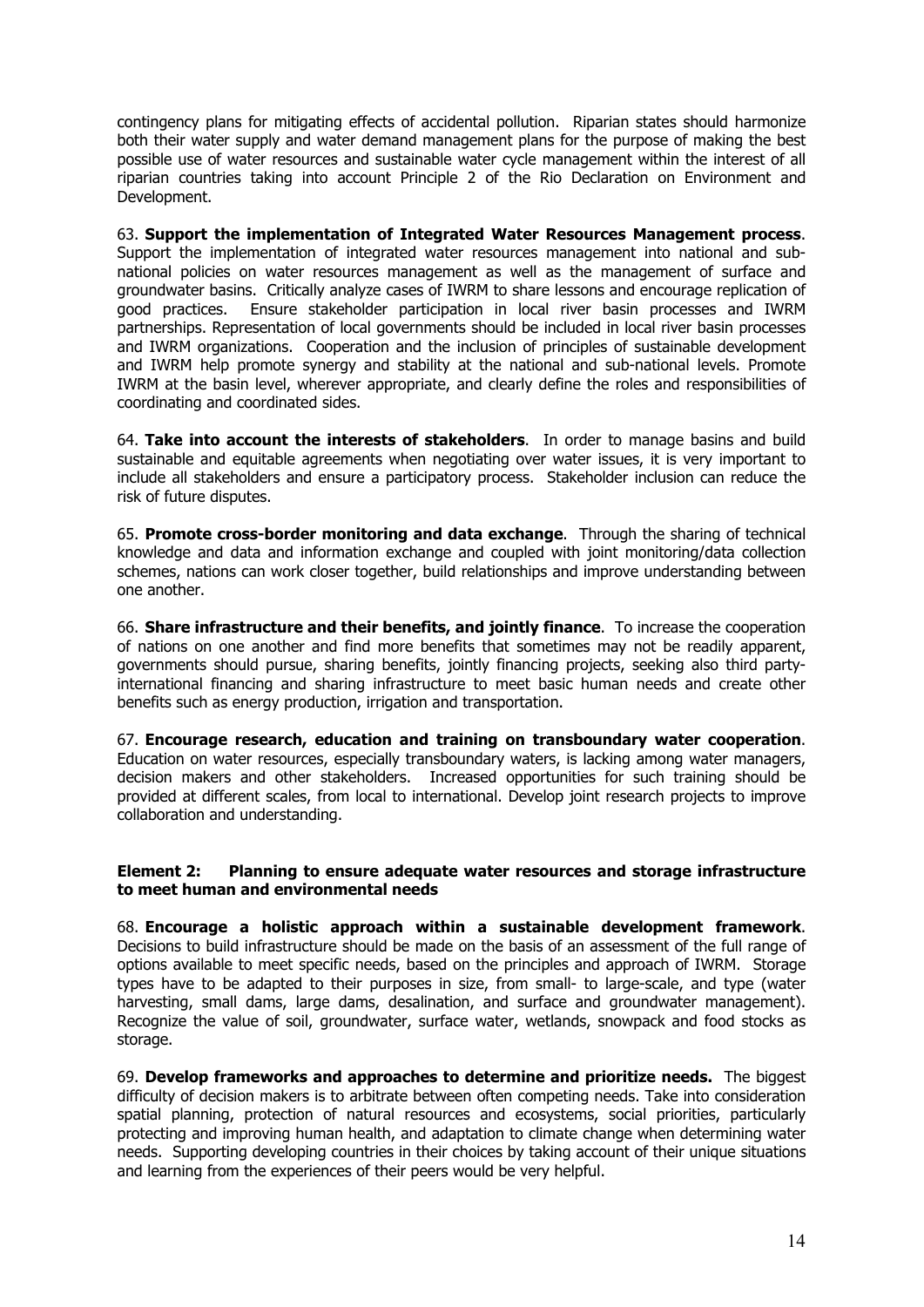<span id="page-13-0"></span>contingency plans for mitigating effects of accidental pollution. Riparian states should harmonize both their water supply and water demand management plans for the purpose of making the best possible use of water resources and sustainable water cycle management within the interest of all riparian countries taking into account Principle 2 of the Rio Declaration on Environment and Development.

63. **Support the implementation of Integrated Water Resources Management process**. Support the implementation of integrated water resources management into national and subnational policies on water resources management as well as the management of surface and groundwater basins. Critically analyze cases of IWRM to share lessons and encourage replication of good practices. Ensure stakeholder participation in local river basin processes and IWRM partnerships. Representation of local governments should be included in local river basin processes and IWRM organizations. Cooperation and the inclusion of principles of sustainable development and IWRM help promote synergy and stability at the national and sub-national levels. Promote IWRM at the basin level, wherever appropriate, and clearly define the roles and responsibilities of coordinating and coordinated sides.

64. **Take into account the interests of stakeholders**. In order to manage basins and build sustainable and equitable agreements when negotiating over water issues, it is very important to include all stakeholders and ensure a participatory process. Stakeholder inclusion can reduce the risk of future disputes.

65. **Promote cross-border monitoring and data exchange**. Through the sharing of technical knowledge and data and information exchange and coupled with joint monitoring/data collection schemes, nations can work closer together, build relationships and improve understanding between one another.

66. **Share infrastructure and their benefits, and jointly finance**. To increase the cooperation of nations on one another and find more benefits that sometimes may not be readily apparent, governments should pursue, sharing benefits, jointly financing projects, seeking also third partyinternational financing and sharing infrastructure to meet basic human needs and create other benefits such as energy production, irrigation and transportation.

67. **Encourage research, education and training on transboundary water cooperation**. Education on water resources, especially transboundary waters, is lacking among water managers, decision makers and other stakeholders. Increased opportunities for such training should be provided at different scales, from local to international. Develop joint research projects to improve collaboration and understanding.

### **Element 2: Planning to ensure adequate water resources and storage infrastructure to meet human and environmental needs**

68. **Encourage a holistic approach within a sustainable development framework**. Decisions to build infrastructure should be made on the basis of an assessment of the full range of options available to meet specific needs, based on the principles and approach of IWRM. Storage types have to be adapted to their purposes in size, from small- to large-scale, and type (water harvesting, small dams, large dams, desalination, and surface and groundwater management). Recognize the value of soil, groundwater, surface water, wetlands, snowpack and food stocks as storage.

69. **Develop frameworks and approaches to determine and prioritize needs.** The biggest difficulty of decision makers is to arbitrate between often competing needs. Take into consideration spatial planning, protection of natural resources and ecosystems, social priorities, particularly protecting and improving human health, and adaptation to climate change when determining water needs. Supporting developing countries in their choices by taking account of their unique situations and learning from the experiences of their peers would be very helpful.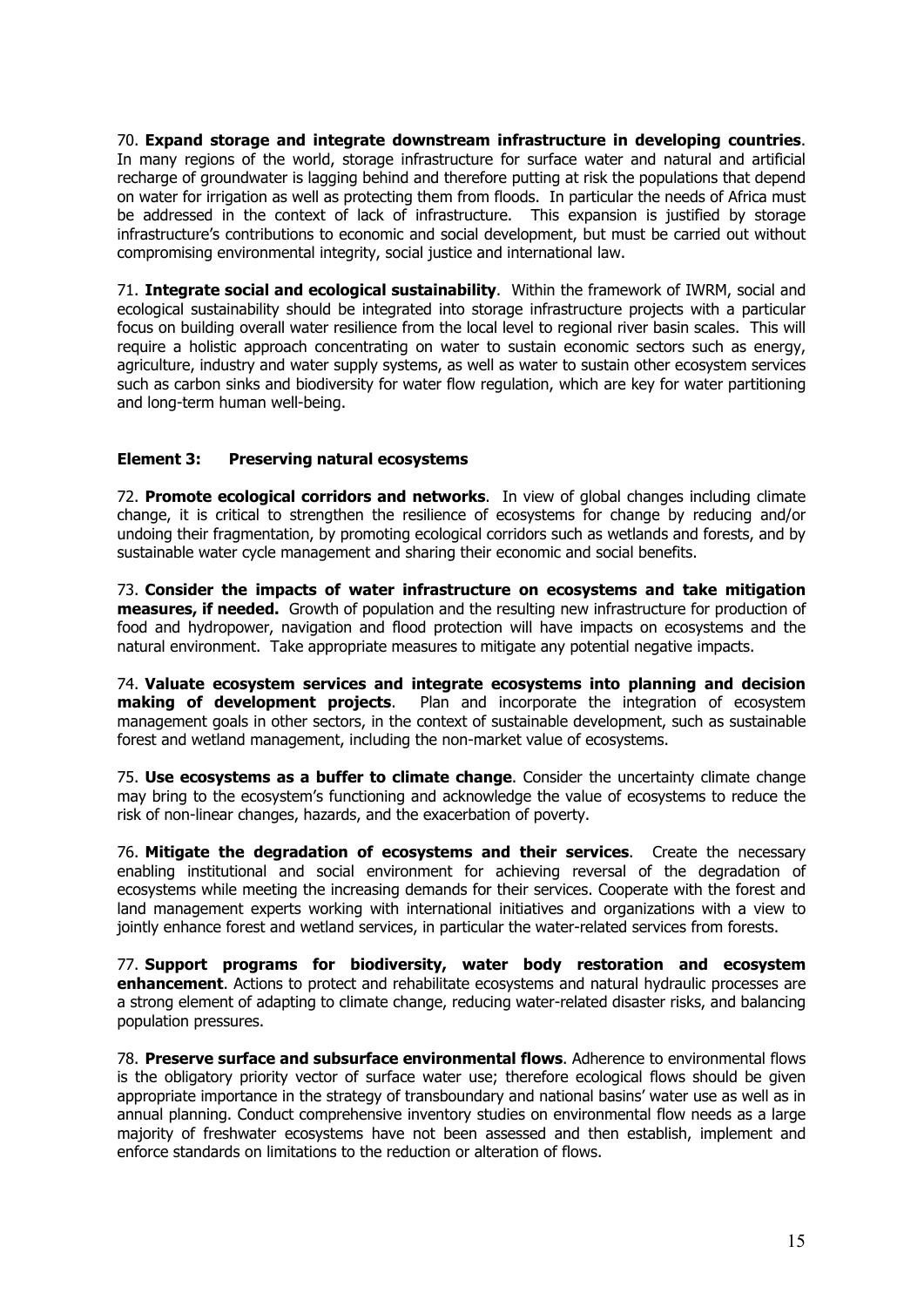<span id="page-14-0"></span>70. **Expand storage and integrate downstream infrastructure in developing countries**. In many regions of the world, storage infrastructure for surface water and natural and artificial recharge of groundwater is lagging behind and therefore putting at risk the populations that depend on water for irrigation as well as protecting them from floods. In particular the needs of Africa must be addressed in the context of lack of infrastructure. This expansion is justified by storage infrastructure's contributions to economic and social development, but must be carried out without compromising environmental integrity, social justice and international law.

71. **Integrate social and ecological sustainability**. Within the framework of IWRM, social and ecological sustainability should be integrated into storage infrastructure projects with a particular focus on building overall water resilience from the local level to regional river basin scales. This will require a holistic approach concentrating on water to sustain economic sectors such as energy, agriculture, industry and water supply systems, as well as water to sustain other ecosystem services such as carbon sinks and biodiversity for water flow regulation, which are key for water partitioning and long-term human well-being.

### **Element 3: Preserving natural ecosystems**

72. **Promote ecological corridors and networks**. In view of global changes including climate change, it is critical to strengthen the resilience of ecosystems for change by reducing and/or undoing their fragmentation, by promoting ecological corridors such as wetlands and forests, and by sustainable water cycle management and sharing their economic and social benefits.

73. **Consider the impacts of water infrastructure on ecosystems and take mitigation measures, if needed.** Growth of population and the resulting new infrastructure for production of food and hydropower, navigation and flood protection will have impacts on ecosystems and the natural environment. Take appropriate measures to mitigate any potential negative impacts.

74. **Valuate ecosystem services and integrate ecosystems into planning and decision making of development projects**. Plan and incorporate the integration of ecosystem management goals in other sectors, in the context of sustainable development, such as sustainable forest and wetland management, including the non-market value of ecosystems.

75. **Use ecosystems as a buffer to climate change**. Consider the uncertainty climate change may bring to the ecosystem's functioning and acknowledge the value of ecosystems to reduce the risk of non-linear changes, hazards, and the exacerbation of poverty.

76. **Mitigate the degradation of ecosystems and their services**. Create the necessary enabling institutional and social environment for achieving reversal of the degradation of ecosystems while meeting the increasing demands for their services. Cooperate with the forest and land management experts working with international initiatives and organizations with a view to jointly enhance forest and wetland services, in particular the water-related services from forests.

77. **Support programs for biodiversity, water body restoration and ecosystem enhancement**. Actions to protect and rehabilitate ecosystems and natural hydraulic processes are a strong element of adapting to climate change, reducing water-related disaster risks, and balancing population pressures.

78. **Preserve surface and subsurface environmental flows**. Adherence to environmental flows is the obligatory priority vector of surface water use; therefore ecological flows should be given appropriate importance in the strategy of transboundary and national basins' water use as well as in annual planning. Conduct comprehensive inventory studies on environmental flow needs as a large majority of freshwater ecosystems have not been assessed and then establish, implement and enforce standards on limitations to the reduction or alteration of flows.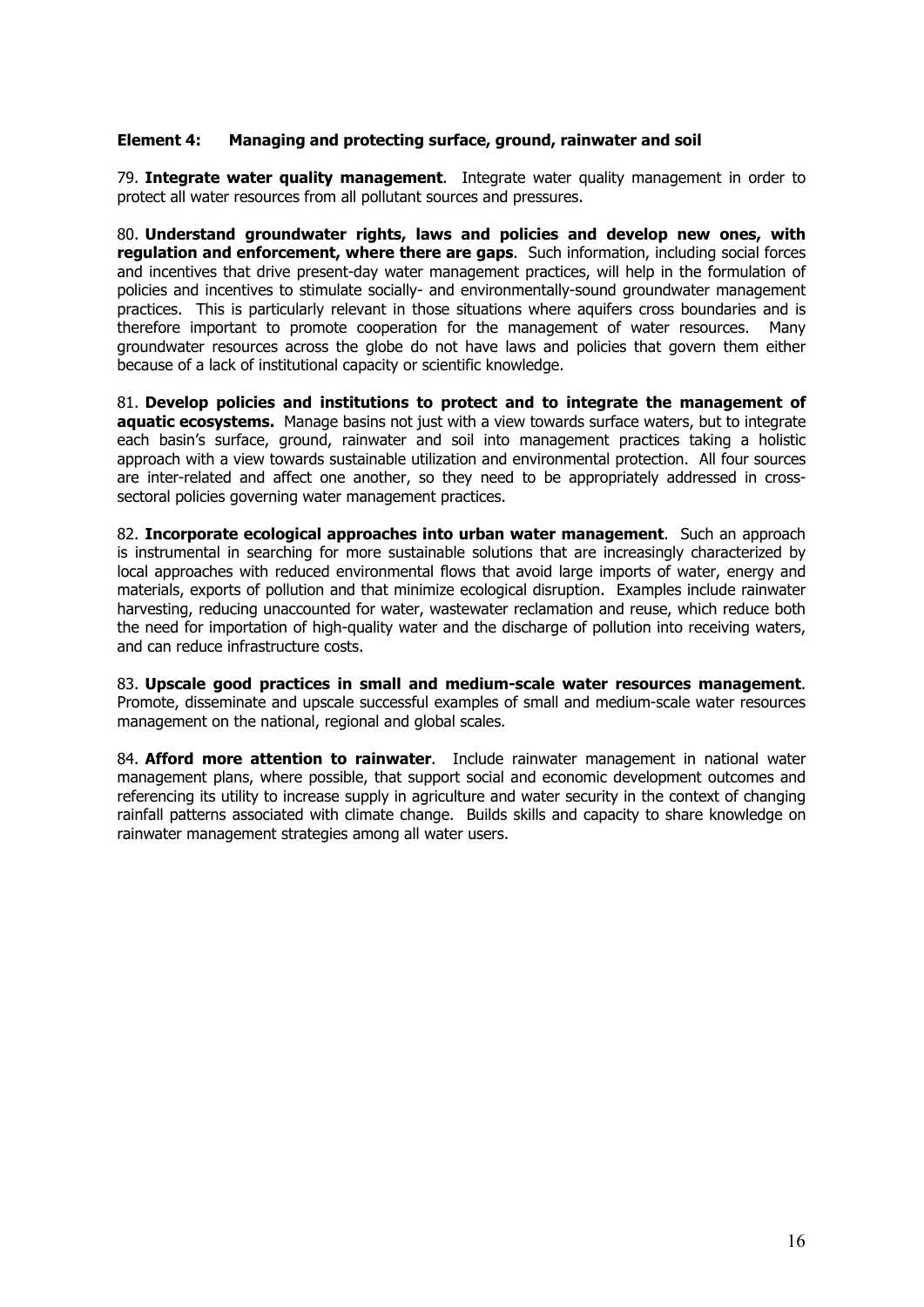#### <span id="page-15-0"></span>**Element 4: Managing and protecting surface, ground, rainwater and soil**

79. **Integrate water quality management**. Integrate water quality management in order to protect all water resources from all pollutant sources and pressures.

80. **Understand groundwater rights, laws and policies and develop new ones, with regulation and enforcement, where there are gaps**. Such information, including social forces and incentives that drive present-day water management practices, will help in the formulation of policies and incentives to stimulate socially- and environmentally-sound groundwater management practices. This is particularly relevant in those situations where aquifers cross boundaries and is therefore important to promote cooperation for the management of water resources. Many groundwater resources across the globe do not have laws and policies that govern them either because of a lack of institutional capacity or scientific knowledge.

81. **Develop policies and institutions to protect and to integrate the management of aquatic ecosystems.** Manage basins not just with a view towards surface waters, but to integrate each basin's surface, ground, rainwater and soil into management practices taking a holistic approach with a view towards sustainable utilization and environmental protection. All four sources are inter-related and affect one another, so they need to be appropriately addressed in crosssectoral policies governing water management practices.

82. **Incorporate ecological approaches into urban water management**. Such an approach is instrumental in searching for more sustainable solutions that are increasingly characterized by local approaches with reduced environmental flows that avoid large imports of water, energy and materials, exports of pollution and that minimize ecological disruption. Examples include rainwater harvesting, reducing unaccounted for water, wastewater reclamation and reuse, which reduce both the need for importation of high-quality water and the discharge of pollution into receiving waters, and can reduce infrastructure costs.

83. **Upscale good practices in small and medium-scale water resources management**. Promote, disseminate and upscale successful examples of small and medium-scale water resources management on the national, regional and global scales.

84. **Afford more attention to rainwater**. Include rainwater management in national water management plans, where possible, that support social and economic development outcomes and referencing its utility to increase supply in agriculture and water security in the context of changing rainfall patterns associated with climate change. Builds skills and capacity to share knowledge on rainwater management strategies among all water users.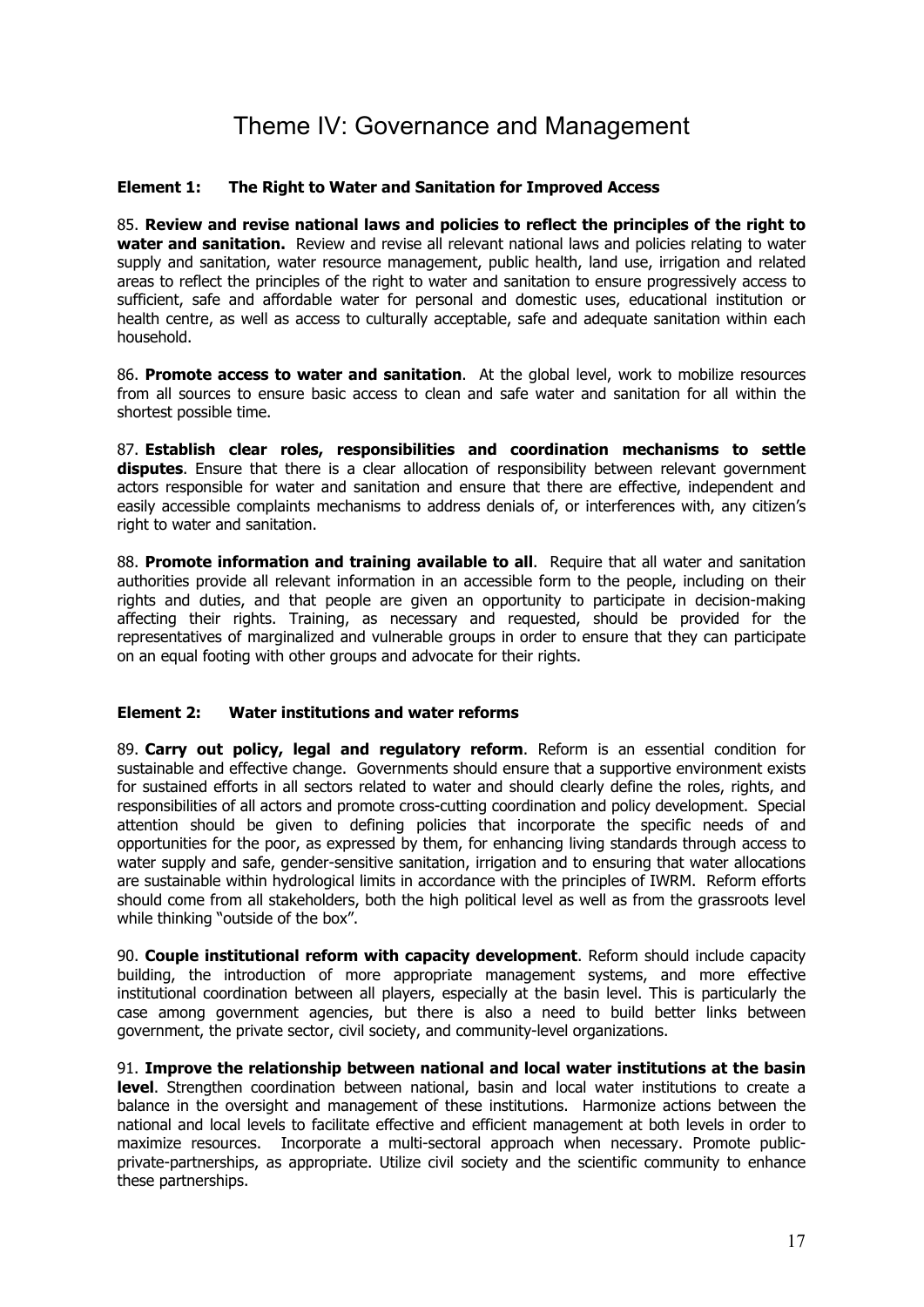### Theme IV: Governance and Management

### <span id="page-16-0"></span>**Element 1: The Right to Water and Sanitation for Improved Access**

85. **Review and revise national laws and policies to reflect the principles of the right to water and sanitation.** Review and revise all relevant national laws and policies relating to water supply and sanitation, water resource management, public health, land use, irrigation and related areas to reflect the principles of the right to water and sanitation to ensure progressively access to sufficient, safe and affordable water for personal and domestic uses, educational institution or health centre, as well as access to culturally acceptable, safe and adequate sanitation within each household.

86. **Promote access to water and sanitation**. At the global level, work to mobilize resources from all sources to ensure basic access to clean and safe water and sanitation for all within the shortest possible time.

87. **Establish clear roles, responsibilities and coordination mechanisms to settle disputes**. Ensure that there is a clear allocation of responsibility between relevant government actors responsible for water and sanitation and ensure that there are effective, independent and easily accessible complaints mechanisms to address denials of, or interferences with, any citizen's right to water and sanitation.

88. **Promote information and training available to all**. Require that all water and sanitation authorities provide all relevant information in an accessible form to the people, including on their rights and duties, and that people are given an opportunity to participate in decision-making affecting their rights. Training, as necessary and requested, should be provided for the representatives of marginalized and vulnerable groups in order to ensure that they can participate on an equal footing with other groups and advocate for their rights.

### **Element 2: Water institutions and water reforms**

89. **Carry out policy, legal and regulatory reform**. Reform is an essential condition for sustainable and effective change. Governments should ensure that a supportive environment exists for sustained efforts in all sectors related to water and should clearly define the roles, rights, and responsibilities of all actors and promote cross-cutting coordination and policy development. Special attention should be given to defining policies that incorporate the specific needs of and opportunities for the poor, as expressed by them, for enhancing living standards through access to water supply and safe, gender-sensitive sanitation, irrigation and to ensuring that water allocations are sustainable within hydrological limits in accordance with the principles of IWRM. Reform efforts should come from all stakeholders, both the high political level as well as from the grassroots level while thinking "outside of the box".

90. **Couple institutional reform with capacity development**. Reform should include capacity building, the introduction of more appropriate management systems, and more effective institutional coordination between all players, especially at the basin level. This is particularly the case among government agencies, but there is also a need to build better links between government, the private sector, civil society, and community-level organizations.

91. **Improve the relationship between national and local water institutions at the basin level**. Strengthen coordination between national, basin and local water institutions to create a balance in the oversight and management of these institutions. Harmonize actions between the national and local levels to facilitate effective and efficient management at both levels in order to maximize resources. Incorporate a multi-sectoral approach when necessary. Promote publicprivate-partnerships, as appropriate. Utilize civil society and the scientific community to enhance these partnerships.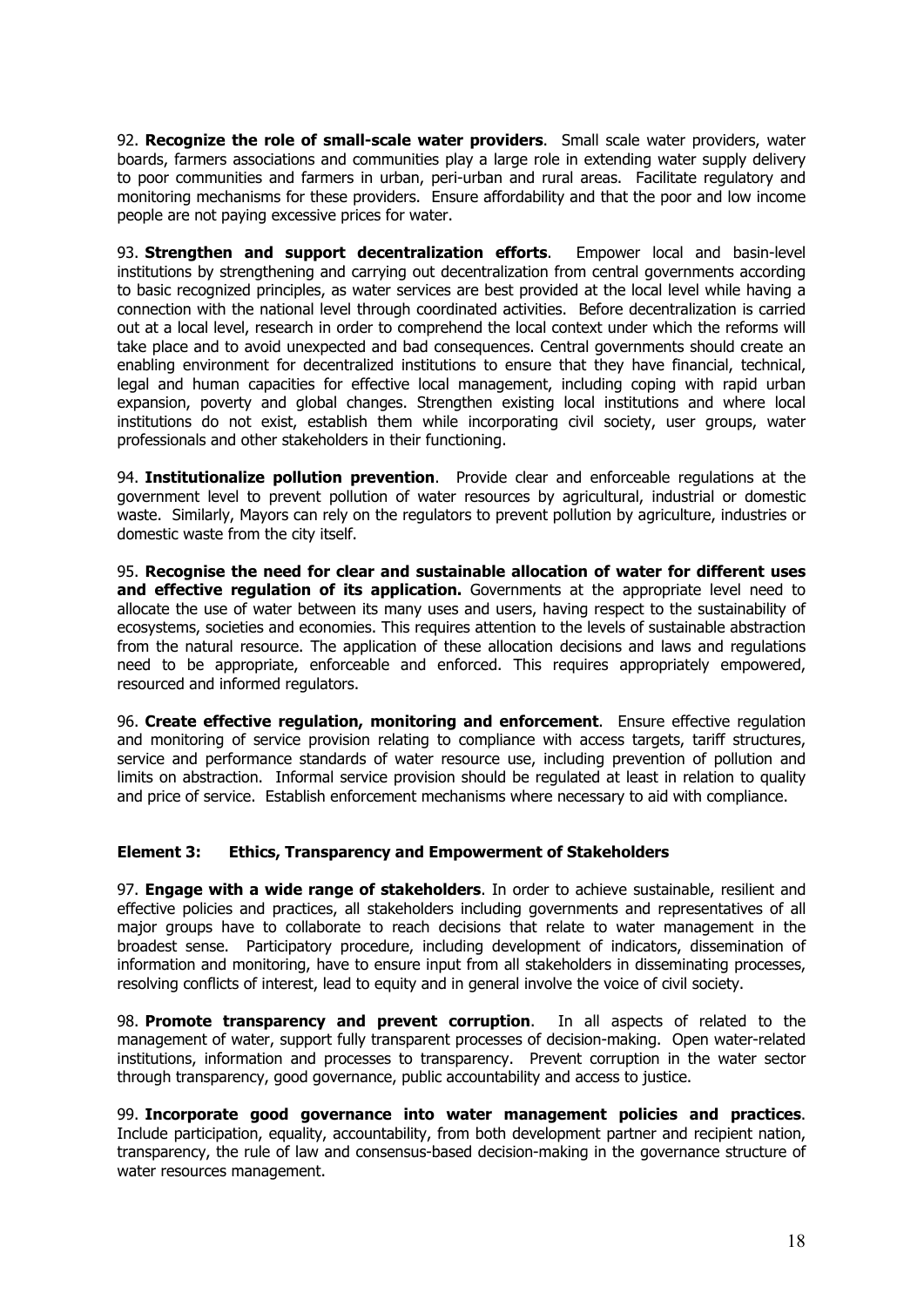<span id="page-17-0"></span>92. **Recognize the role of small-scale water providers**. Small scale water providers, water boards, farmers associations and communities play a large role in extending water supply delivery to poor communities and farmers in urban, peri-urban and rural areas. Facilitate regulatory and monitoring mechanisms for these providers. Ensure affordability and that the poor and low income people are not paying excessive prices for water.

93. **Strengthen and support decentralization efforts**. Empower local and basin-level institutions by strengthening and carrying out decentralization from central governments according to basic recognized principles, as water services are best provided at the local level while having a connection with the national level through coordinated activities. Before decentralization is carried out at a local level, research in order to comprehend the local context under which the reforms will take place and to avoid unexpected and bad consequences. Central governments should create an enabling environment for decentralized institutions to ensure that they have financial, technical, legal and human capacities for effective local management, including coping with rapid urban expansion, poverty and global changes. Strengthen existing local institutions and where local institutions do not exist, establish them while incorporating civil society, user groups, water professionals and other stakeholders in their functioning.

94. **Institutionalize pollution prevention**. Provide clear and enforceable regulations at the government level to prevent pollution of water resources by agricultural, industrial or domestic waste. Similarly, Mayors can rely on the regulators to prevent pollution by agriculture, industries or domestic waste from the city itself.

95. **Recognise the need for clear and sustainable allocation of water for different uses and effective regulation of its application.** Governments at the appropriate level need to allocate the use of water between its many uses and users, having respect to the sustainability of ecosystems, societies and economies. This requires attention to the levels of sustainable abstraction from the natural resource. The application of these allocation decisions and laws and regulations need to be appropriate, enforceable and enforced. This requires appropriately empowered, resourced and informed regulators.

96. **Create effective regulation, monitoring and enforcement**. Ensure effective regulation and monitoring of service provision relating to compliance with access targets, tariff structures, service and performance standards of water resource use, including prevention of pollution and limits on abstraction. Informal service provision should be regulated at least in relation to quality and price of service. Establish enforcement mechanisms where necessary to aid with compliance.

### **Element 3: Ethics, Transparency and Empowerment of Stakeholders**

97. **Engage with a wide range of stakeholders**. In order to achieve sustainable, resilient and effective policies and practices, all stakeholders including governments and representatives of all major groups have to collaborate to reach decisions that relate to water management in the broadest sense. Participatory procedure, including development of indicators, dissemination of information and monitoring, have to ensure input from all stakeholders in disseminating processes, resolving conflicts of interest, lead to equity and in general involve the voice of civil society.

98. **Promote transparency and prevent corruption**. In all aspects of related to the management of water, support fully transparent processes of decision-making. Open water-related institutions, information and processes to transparency. Prevent corruption in the water sector through transparency, good governance, public accountability and access to justice.

99. **Incorporate good governance into water management policies and practices**. Include participation, equality, accountability, from both development partner and recipient nation, transparency, the rule of law and consensus-based decision-making in the governance structure of water resources management.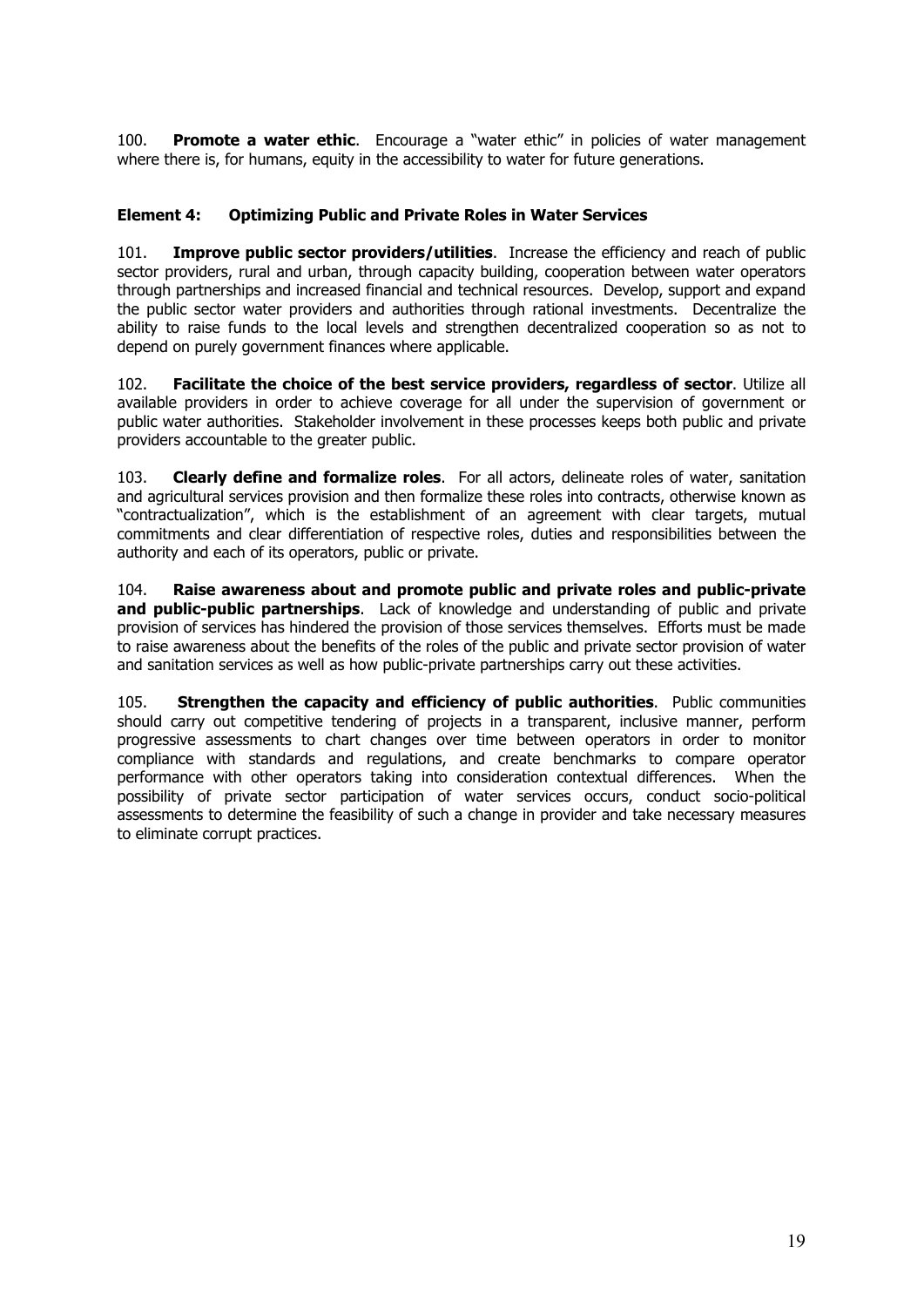<span id="page-18-0"></span>100. **Promote a water ethic**. Encourage a "water ethic" in policies of water management where there is, for humans, equity in the accessibility to water for future generations.

### **Element 4: Optimizing Public and Private Roles in Water Services**

101. **Improve public sector providers/utilities**. Increase the efficiency and reach of public sector providers, rural and urban, through capacity building, cooperation between water operators through partnerships and increased financial and technical resources. Develop, support and expand the public sector water providers and authorities through rational investments. Decentralize the ability to raise funds to the local levels and strengthen decentralized cooperation so as not to depend on purely government finances where applicable.

102. **Facilitate the choice of the best service providers, regardless of sector**. Utilize all available providers in order to achieve coverage for all under the supervision of government or public water authorities. Stakeholder involvement in these processes keeps both public and private providers accountable to the greater public.

103. **Clearly define and formalize roles**. For all actors, delineate roles of water, sanitation and agricultural services provision and then formalize these roles into contracts, otherwise known as "contractualization", which is the establishment of an agreement with clear targets, mutual commitments and clear differentiation of respective roles, duties and responsibilities between the authority and each of its operators, public or private.

104. **Raise awareness about and promote public and private roles and public-private and public-public partnerships**. Lack of knowledge and understanding of public and private provision of services has hindered the provision of those services themselves. Efforts must be made to raise awareness about the benefits of the roles of the public and private sector provision of water and sanitation services as well as how public-private partnerships carry out these activities.

105. **Strengthen the capacity and efficiency of public authorities**. Public communities should carry out competitive tendering of projects in a transparent, inclusive manner, perform progressive assessments to chart changes over time between operators in order to monitor compliance with standards and regulations, and create benchmarks to compare operator performance with other operators taking into consideration contextual differences. When the possibility of private sector participation of water services occurs, conduct socio-political assessments to determine the feasibility of such a change in provider and take necessary measures to eliminate corrupt practices.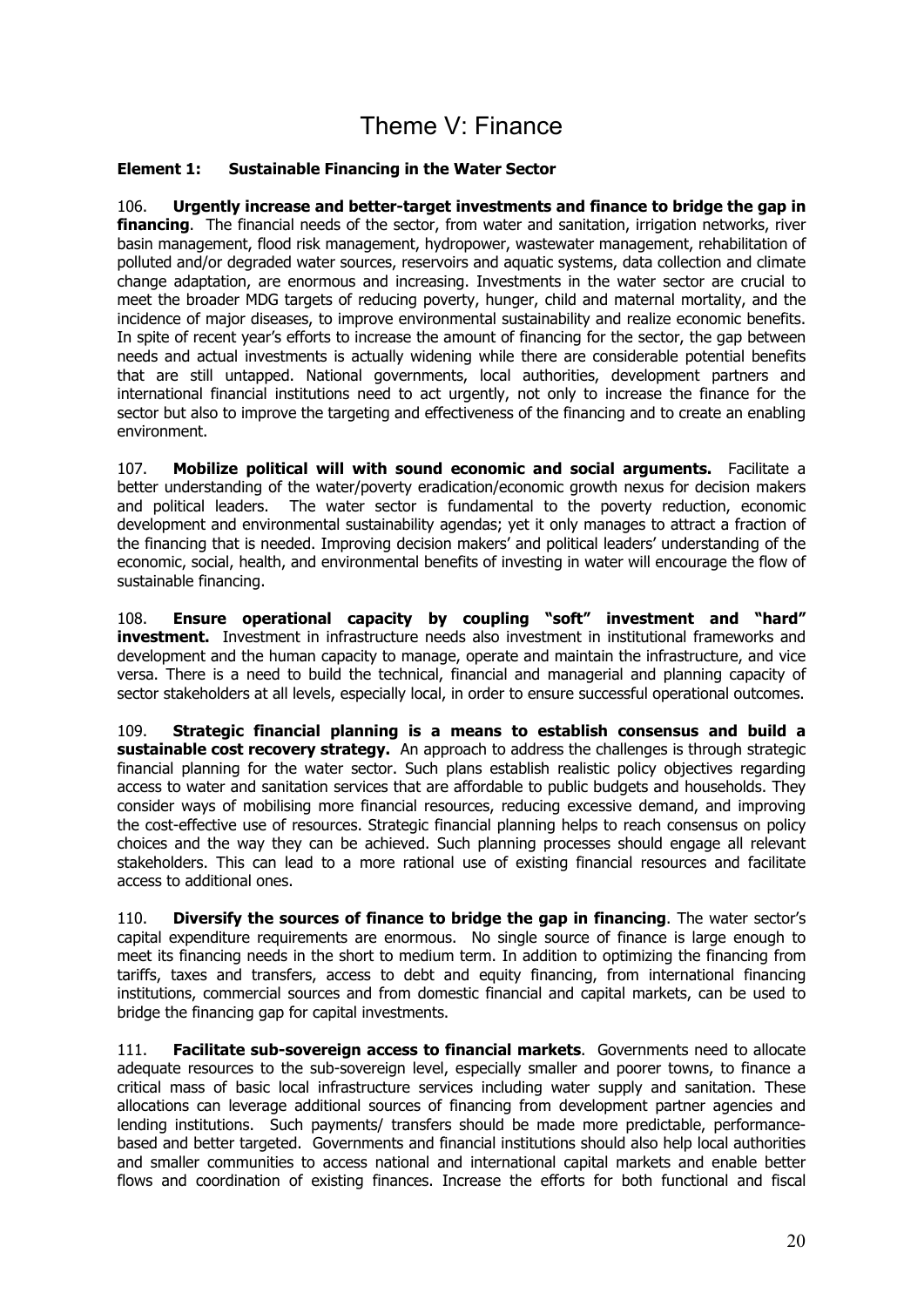### Theme V: Finance

### <span id="page-19-0"></span>**Element 1: Sustainable Financing in the Water Sector**

106. **Urgently increase and better-target investments and finance to bridge the gap in financing**. The financial needs of the sector, from water and sanitation, irrigation networks, river basin management, flood risk management, hydropower, wastewater management, rehabilitation of polluted and/or degraded water sources, reservoirs and aquatic systems, data collection and climate change adaptation, are enormous and increasing. Investments in the water sector are crucial to meet the broader MDG targets of reducing poverty, hunger, child and maternal mortality, and the incidence of major diseases, to improve environmental sustainability and realize economic benefits. In spite of recent year's efforts to increase the amount of financing for the sector, the gap between needs and actual investments is actually widening while there are considerable potential benefits that are still untapped. National governments, local authorities, development partners and international financial institutions need to act urgently, not only to increase the finance for the sector but also to improve the targeting and effectiveness of the financing and to create an enabling environment.

107. **Mobilize political will with sound economic and social arguments.** Facilitate a better understanding of the water/poverty eradication/economic growth nexus for decision makers and political leaders. The water sector is fundamental to the poverty reduction, economic development and environmental sustainability agendas; yet it only manages to attract a fraction of the financing that is needed. Improving decision makers' and political leaders' understanding of the economic, social, health, and environmental benefits of investing in water will encourage the flow of sustainable financing.

108. **Ensure operational capacity by coupling "soft" investment and "hard" investment.** Investment in infrastructure needs also investment in institutional frameworks and development and the human capacity to manage, operate and maintain the infrastructure, and vice versa. There is a need to build the technical, financial and managerial and planning capacity of sector stakeholders at all levels, especially local, in order to ensure successful operational outcomes.

109. **Strategic financial planning is a means to establish consensus and build a sustainable cost recovery strategy.** An approach to address the challenges is through strategic financial planning for the water sector. Such plans establish realistic policy objectives regarding access to water and sanitation services that are affordable to public budgets and households. They consider ways of mobilising more financial resources, reducing excessive demand, and improving the cost-effective use of resources. Strategic financial planning helps to reach consensus on policy choices and the way they can be achieved. Such planning processes should engage all relevant stakeholders. This can lead to a more rational use of existing financial resources and facilitate access to additional ones.

110. **Diversify the sources of finance to bridge the gap in financing**. The water sector's capital expenditure requirements are enormous. No single source of finance is large enough to meet its financing needs in the short to medium term. In addition to optimizing the financing from tariffs, taxes and transfers, access to debt and equity financing, from international financing institutions, commercial sources and from domestic financial and capital markets, can be used to bridge the financing gap for capital investments.

111. **Facilitate sub-sovereign access to financial markets**. Governments need to allocate adequate resources to the sub-sovereign level, especially smaller and poorer towns, to finance a critical mass of basic local infrastructure services including water supply and sanitation. These allocations can leverage additional sources of financing from development partner agencies and lending institutions. Such payments/ transfers should be made more predictable, performancebased and better targeted. Governments and financial institutions should also help local authorities and smaller communities to access national and international capital markets and enable better flows and coordination of existing finances. Increase the efforts for both functional and fiscal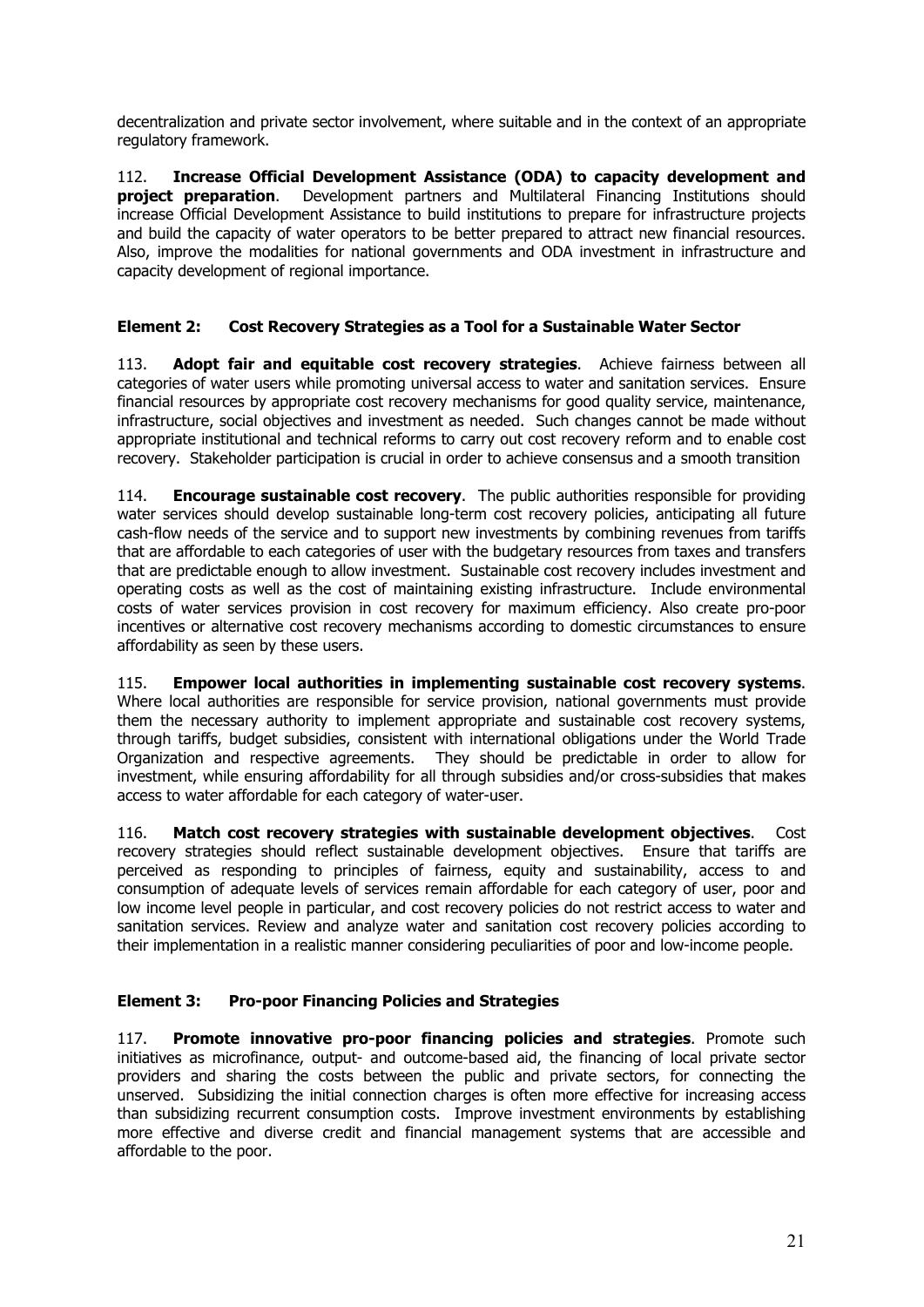decentralization and private sector involvement, where suitable and in the context of an appropriate regulatory framework.

112. **Increase Official Development Assistance (ODA) to capacity development and project preparation**. Development partners and Multilateral Financing Institutions should increase Official Development Assistance to build institutions to prepare for infrastructure projects and build the capacity of water operators to be better prepared to attract new financial resources. Also, improve the modalities for national governments and ODA investment in infrastructure and capacity development of regional importance.

### **Element 2: Cost Recovery Strategies as a Tool for a Sustainable Water Sector**

113. **Adopt fair and equitable cost recovery strategies**. Achieve fairness between all categories of water users while promoting universal access to water and sanitation services. Ensure financial resources by appropriate cost recovery mechanisms for good quality service, maintenance, infrastructure, social objectives and investment as needed. Such changes cannot be made without appropriate institutional and technical reforms to carry out cost recovery reform and to enable cost recovery. Stakeholder participation is crucial in order to achieve consensus and a smooth transition

114. **Encourage sustainable cost recovery**. The public authorities responsible for providing water services should develop sustainable long-term cost recovery policies, anticipating all future cash-flow needs of the service and to support new investments by combining revenues from tariffs that are affordable to each categories of user with the budgetary resources from taxes and transfers that are predictable enough to allow investment. Sustainable cost recovery includes investment and operating costs as well as the cost of maintaining existing infrastructure. Include environmental costs of water services provision in cost recovery for maximum efficiency. Also create pro-poor incentives or alternative cost recovery mechanisms according to domestic circumstances to ensure affordability as seen by these users.

115. **Empower local authorities in implementing sustainable cost recovery systems**. Where local authorities are responsible for service provision, national governments must provide them the necessary authority to implement appropriate and sustainable cost recovery systems, through tariffs, budget subsidies, consistent with international obligations under the World Trade Organization and respective agreements. They should be predictable in order to allow for investment, while ensuring affordability for all through subsidies and/or cross-subsidies that makes access to water affordable for each category of water-user.

116. **Match cost recovery strategies with sustainable development objectives**. Cost recovery strategies should reflect sustainable development objectives. Ensure that tariffs are perceived as responding to principles of fairness, equity and sustainability, access to and consumption of adequate levels of services remain affordable for each category of user, poor and low income level people in particular, and cost recovery policies do not restrict access to water and sanitation services. Review and analyze water and sanitation cost recovery policies according to their implementation in a realistic manner considering peculiarities of poor and low-income people.

### **Element 3: Pro-poor Financing Policies and Strategies**

117. **Promote innovative pro-poor financing policies and strategies**. Promote such initiatives as microfinance, output- and outcome-based aid, the financing of local private sector providers and sharing the costs between the public and private sectors, for connecting the unserved. Subsidizing the initial connection charges is often more effective for increasing access than subsidizing recurrent consumption costs. Improve investment environments by establishing more effective and diverse credit and financial management systems that are accessible and affordable to the poor.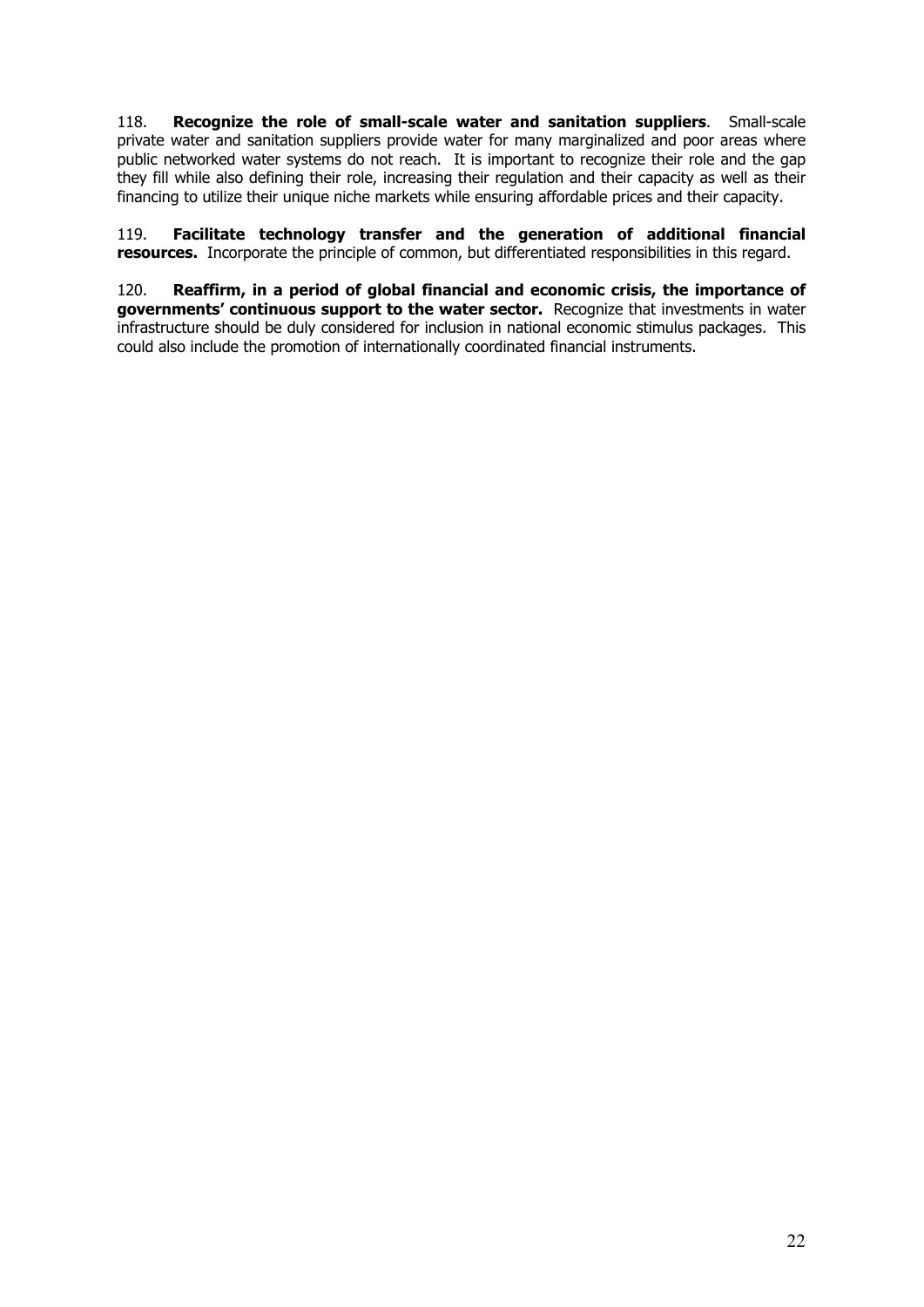<span id="page-21-0"></span>118. **Recognize the role of small-scale water and sanitation suppliers**. Small-scale private water and sanitation suppliers provide water for many marginalized and poor areas where public networked water systems do not reach. It is important to recognize their role and the gap they fill while also defining their role, increasing their regulation and their capacity as well as their financing to utilize their unique niche markets while ensuring affordable prices and their capacity.

119. **Facilitate technology transfer and the generation of additional financial resources.** Incorporate the principle of common, but differentiated responsibilities in this regard.

120. **Reaffirm, in a period of global financial and economic crisis, the importance of governments' continuous support to the water sector.** Recognize that investments in water infrastructure should be duly considered for inclusion in national economic stimulus packages. This could also include the promotion of internationally coordinated financial instruments.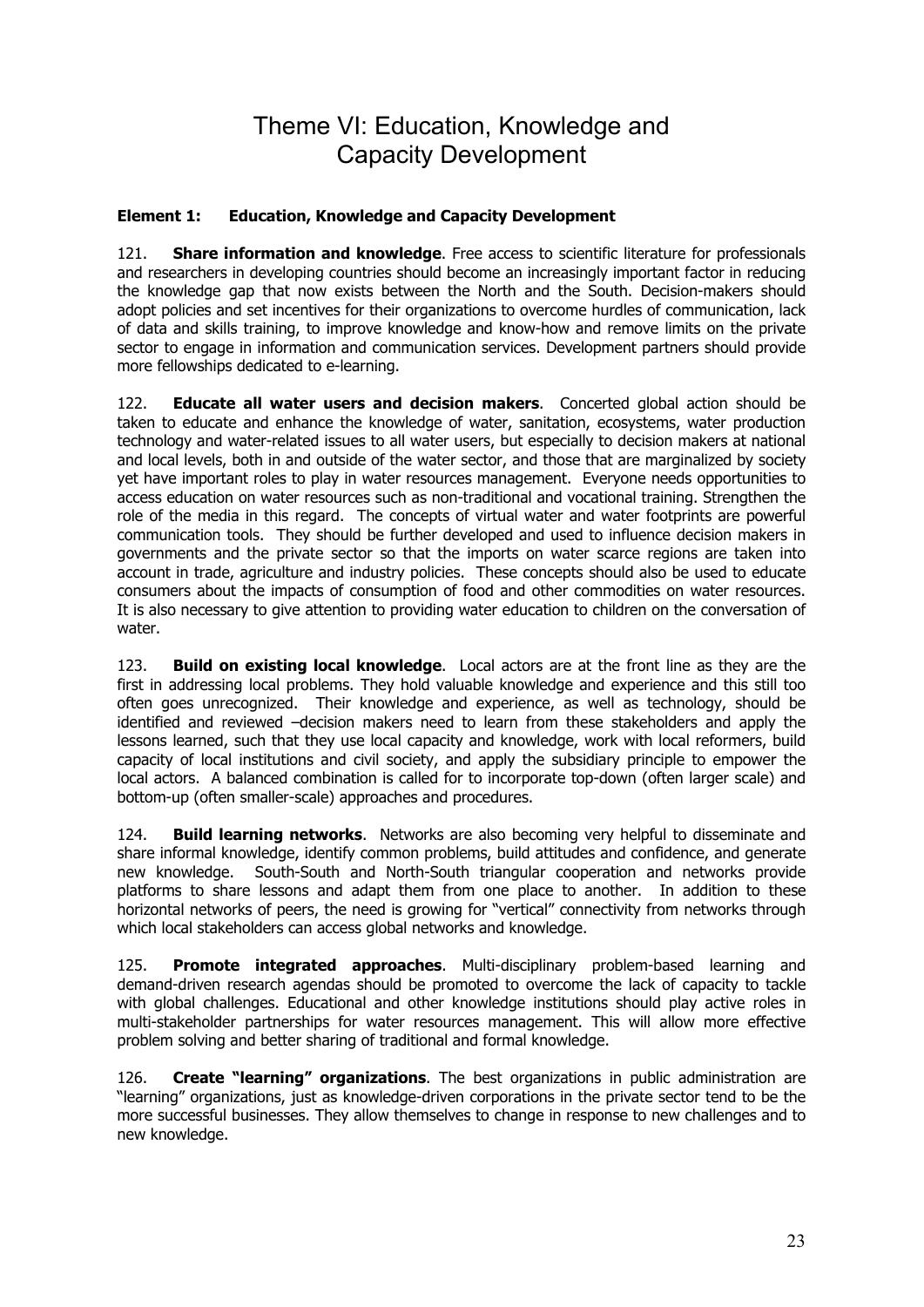### Theme VI: Education, Knowledge and Capacity Development

### <span id="page-22-0"></span>**Element 1: Education, Knowledge and Capacity Development**

121. **Share information and knowledge**. Free access to scientific literature for professionals and researchers in developing countries should become an increasingly important factor in reducing the knowledge gap that now exists between the North and the South. Decision-makers should adopt policies and set incentives for their organizations to overcome hurdles of communication, lack of data and skills training, to improve knowledge and know-how and remove limits on the private sector to engage in information and communication services. Development partners should provide more fellowships dedicated to e-learning.

122. **Educate all water users and decision makers**. Concerted global action should be taken to educate and enhance the knowledge of water, sanitation, ecosystems, water production technology and water-related issues to all water users, but especially to decision makers at national and local levels, both in and outside of the water sector, and those that are marginalized by society yet have important roles to play in water resources management. Everyone needs opportunities to access education on water resources such as non-traditional and vocational training. Strengthen the role of the media in this regard. The concepts of virtual water and water footprints are powerful communication tools. They should be further developed and used to influence decision makers in governments and the private sector so that the imports on water scarce regions are taken into account in trade, agriculture and industry policies. These concepts should also be used to educate consumers about the impacts of consumption of food and other commodities on water resources. It is also necessary to give attention to providing water education to children on the conversation of water.

123. **Build on existing local knowledge**. Local actors are at the front line as they are the first in addressing local problems. They hold valuable knowledge and experience and this still too often goes unrecognized. Their knowledge and experience, as well as technology, should be identified and reviewed –decision makers need to learn from these stakeholders and apply the lessons learned, such that they use local capacity and knowledge, work with local reformers, build capacity of local institutions and civil society, and apply the subsidiary principle to empower the local actors. A balanced combination is called for to incorporate top-down (often larger scale) and bottom-up (often smaller-scale) approaches and procedures.

124. **Build learning networks**. Networks are also becoming very helpful to disseminate and share informal knowledge, identify common problems, build attitudes and confidence, and generate new knowledge. South-South and North-South triangular cooperation and networks provide platforms to share lessons and adapt them from one place to another. In addition to these horizontal networks of peers, the need is growing for "vertical" connectivity from networks through which local stakeholders can access global networks and knowledge.

125. **Promote integrated approaches**. Multi-disciplinary problem-based learning and demand-driven research agendas should be promoted to overcome the lack of capacity to tackle with global challenges. Educational and other knowledge institutions should play active roles in multi-stakeholder partnerships for water resources management. This will allow more effective problem solving and better sharing of traditional and formal knowledge.

126. **Create "learning" organizations**. The best organizations in public administration are "learning" organizations, just as knowledge-driven corporations in the private sector tend to be the more successful businesses. They allow themselves to change in response to new challenges and to new knowledge.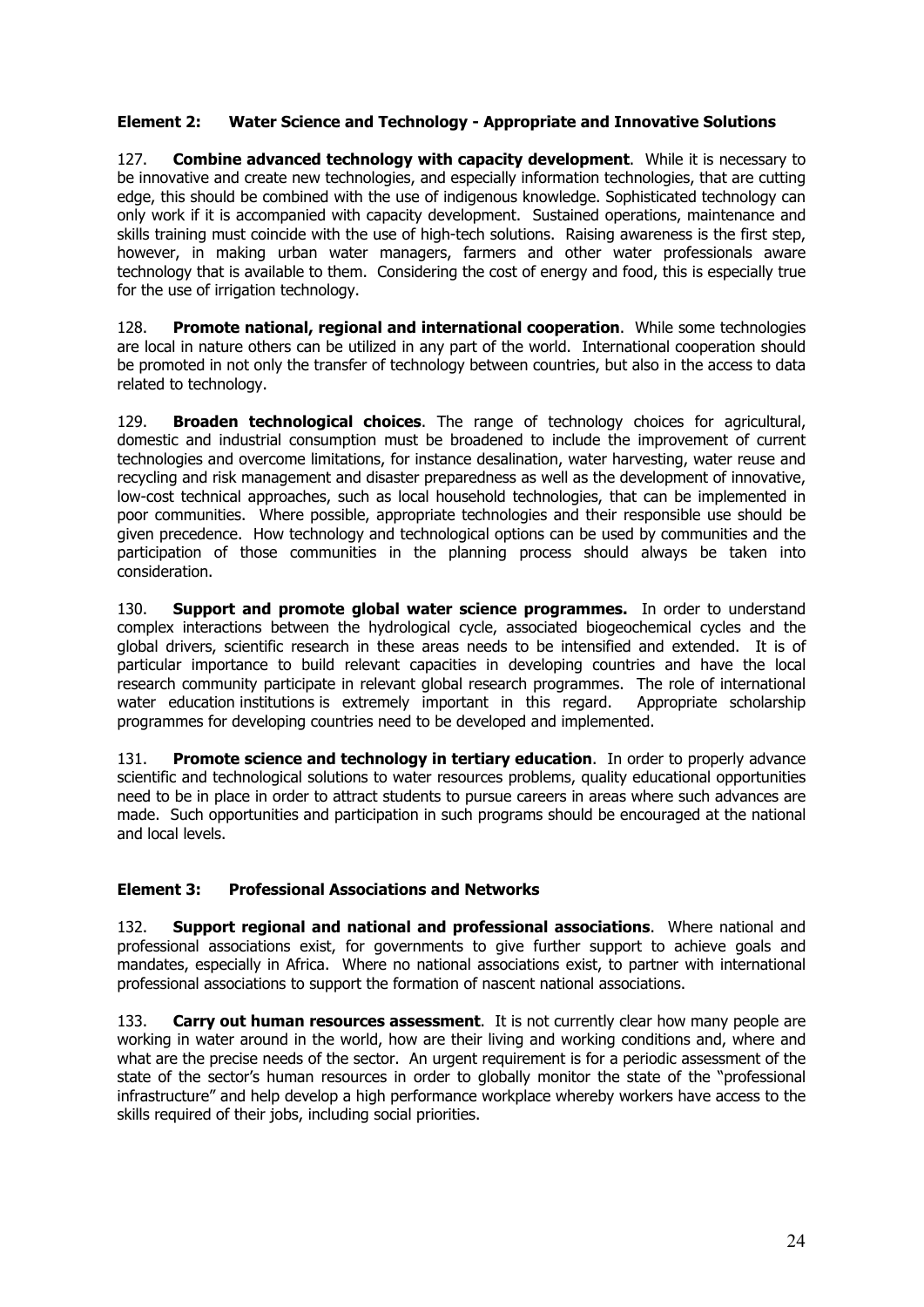### <span id="page-23-0"></span>**Element 2: Water Science and Technology - Appropriate and Innovative Solutions**

127. **Combine advanced technology with capacity development**. While it is necessary to be innovative and create new technologies, and especially information technologies, that are cutting edge, this should be combined with the use of indigenous knowledge. Sophisticated technology can only work if it is accompanied with capacity development. Sustained operations, maintenance and skills training must coincide with the use of high-tech solutions. Raising awareness is the first step, however, in making urban water managers, farmers and other water professionals aware technology that is available to them. Considering the cost of energy and food, this is especially true for the use of irrigation technology.

128. **Promote national, regional and international cooperation**. While some technologies are local in nature others can be utilized in any part of the world. International cooperation should be promoted in not only the transfer of technology between countries, but also in the access to data related to technology.

129. **Broaden technological choices**. The range of technology choices for agricultural, domestic and industrial consumption must be broadened to include the improvement of current technologies and overcome limitations, for instance desalination, water harvesting, water reuse and recycling and risk management and disaster preparedness as well as the development of innovative, low-cost technical approaches, such as local household technologies, that can be implemented in poor communities. Where possible, appropriate technologies and their responsible use should be given precedence. How technology and technological options can be used by communities and the participation of those communities in the planning process should always be taken into consideration.

130. **Support and promote global water science programmes.** In order to understand complex interactions between the hydrological cycle, associated biogeochemical cycles and the global drivers, scientific research in these areas needs to be intensified and extended. It is of particular importance to build relevant capacities in developing countries and have the local research community participate in relevant global research programmes. The role of international water education institutions is extremely important in this regard. Appropriate scholarship programmes for developing countries need to be developed and implemented.

131. **Promote science and technology in tertiary education**. In order to properly advance scientific and technological solutions to water resources problems, quality educational opportunities need to be in place in order to attract students to pursue careers in areas where such advances are made. Such opportunities and participation in such programs should be encouraged at the national and local levels.

### **Element 3: Professional Associations and Networks**

132. **Support regional and national and professional associations**. Where national and professional associations exist, for governments to give further support to achieve goals and mandates, especially in Africa. Where no national associations exist, to partner with international professional associations to support the formation of nascent national associations.

133. **Carry out human resources assessment**. It is not currently clear how many people are working in water around in the world, how are their living and working conditions and, where and what are the precise needs of the sector. An urgent requirement is for a periodic assessment of the state of the sector's human resources in order to globally monitor the state of the "professional infrastructure" and help develop a high performance workplace whereby workers have access to the skills required of their jobs, including social priorities.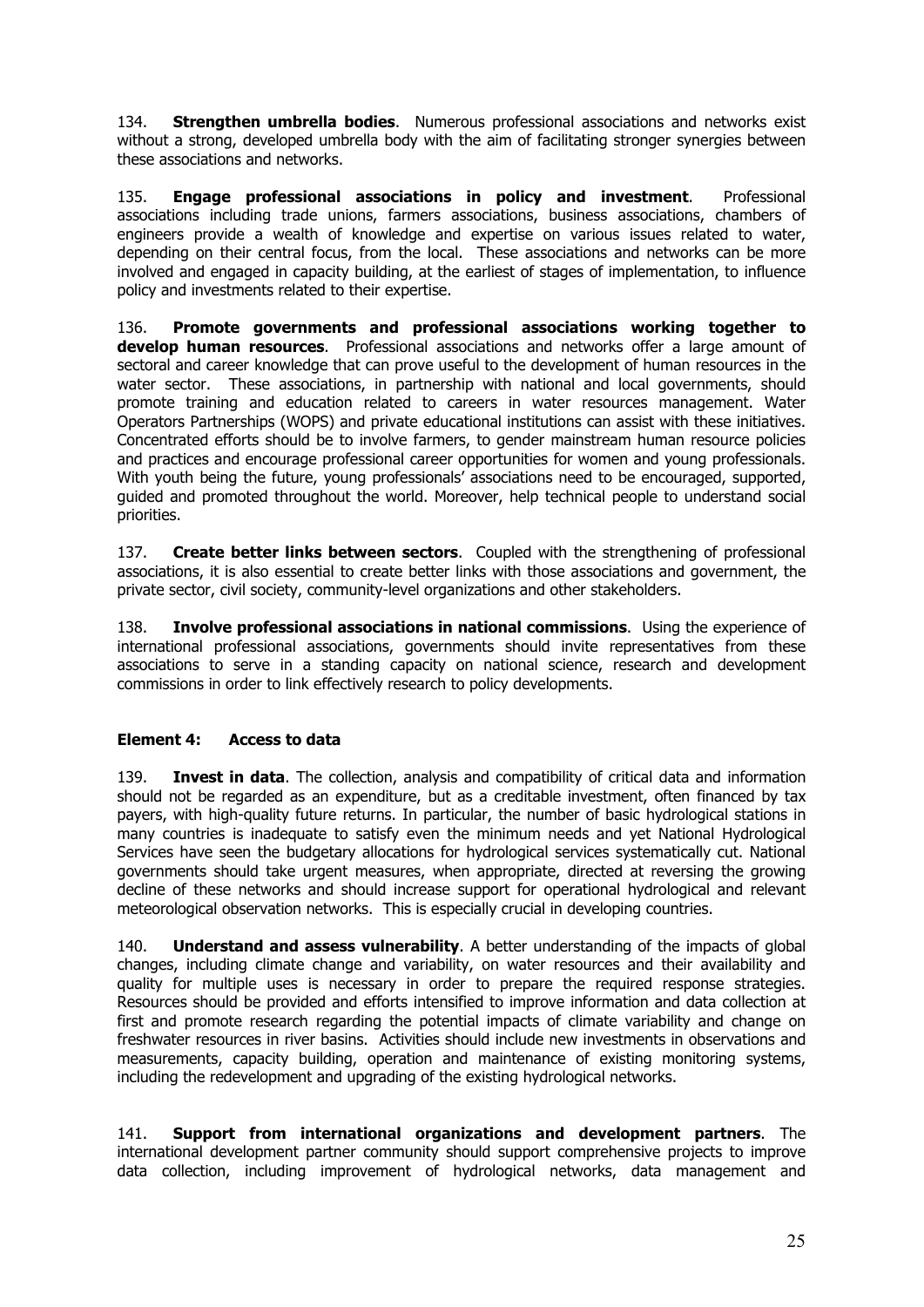<span id="page-24-0"></span>134. **Strengthen umbrella bodies**. Numerous professional associations and networks exist without a strong, developed umbrella body with the aim of facilitating stronger synergies between these associations and networks.

135. **Engage professional associations in policy and investment**. Professional associations including trade unions, farmers associations, business associations, chambers of engineers provide a wealth of knowledge and expertise on various issues related to water, depending on their central focus, from the local. These associations and networks can be more involved and engaged in capacity building, at the earliest of stages of implementation, to influence policy and investments related to their expertise.

136. **Promote governments and professional associations working together to develop human resources**. Professional associations and networks offer a large amount of sectoral and career knowledge that can prove useful to the development of human resources in the water sector. These associations, in partnership with national and local governments, should promote training and education related to careers in water resources management. Water Operators Partnerships (WOPS) and private educational institutions can assist with these initiatives. Concentrated efforts should be to involve farmers, to gender mainstream human resource policies and practices and encourage professional career opportunities for women and young professionals. With youth being the future, young professionals' associations need to be encouraged, supported, guided and promoted throughout the world. Moreover, help technical people to understand social priorities.

137. **Create better links between sectors**. Coupled with the strengthening of professional associations, it is also essential to create better links with those associations and government, the private sector, civil society, community-level organizations and other stakeholders.

138. **Involve professional associations in national commissions**. Using the experience of international professional associations, governments should invite representatives from these associations to serve in a standing capacity on national science, research and development commissions in order to link effectively research to policy developments.

### **Element 4: Access to data**

139. **Invest in data**. The collection, analysis and compatibility of critical data and information should not be regarded as an expenditure, but as a creditable investment, often financed by tax payers, with high-quality future returns. In particular, the number of basic hydrological stations in many countries is inadequate to satisfy even the minimum needs and yet National Hydrological Services have seen the budgetary allocations for hydrological services systematically cut. National governments should take urgent measures, when appropriate, directed at reversing the growing decline of these networks and should increase support for operational hydrological and relevant meteorological observation networks. This is especially crucial in developing countries.

140. **Understand and assess vulnerability**. A better understanding of the impacts of global changes, including climate change and variability, on water resources and their availability and quality for multiple uses is necessary in order to prepare the required response strategies. Resources should be provided and efforts intensified to improve information and data collection at first and promote research regarding the potential impacts of climate variability and change on freshwater resources in river basins. Activities should include new investments in observations and measurements, capacity building, operation and maintenance of existing monitoring systems, including the redevelopment and upgrading of the existing hydrological networks.

141. **Support from international organizations and development partners**. The international development partner community should support comprehensive projects to improve data collection, including improvement of hydrological networks, data management and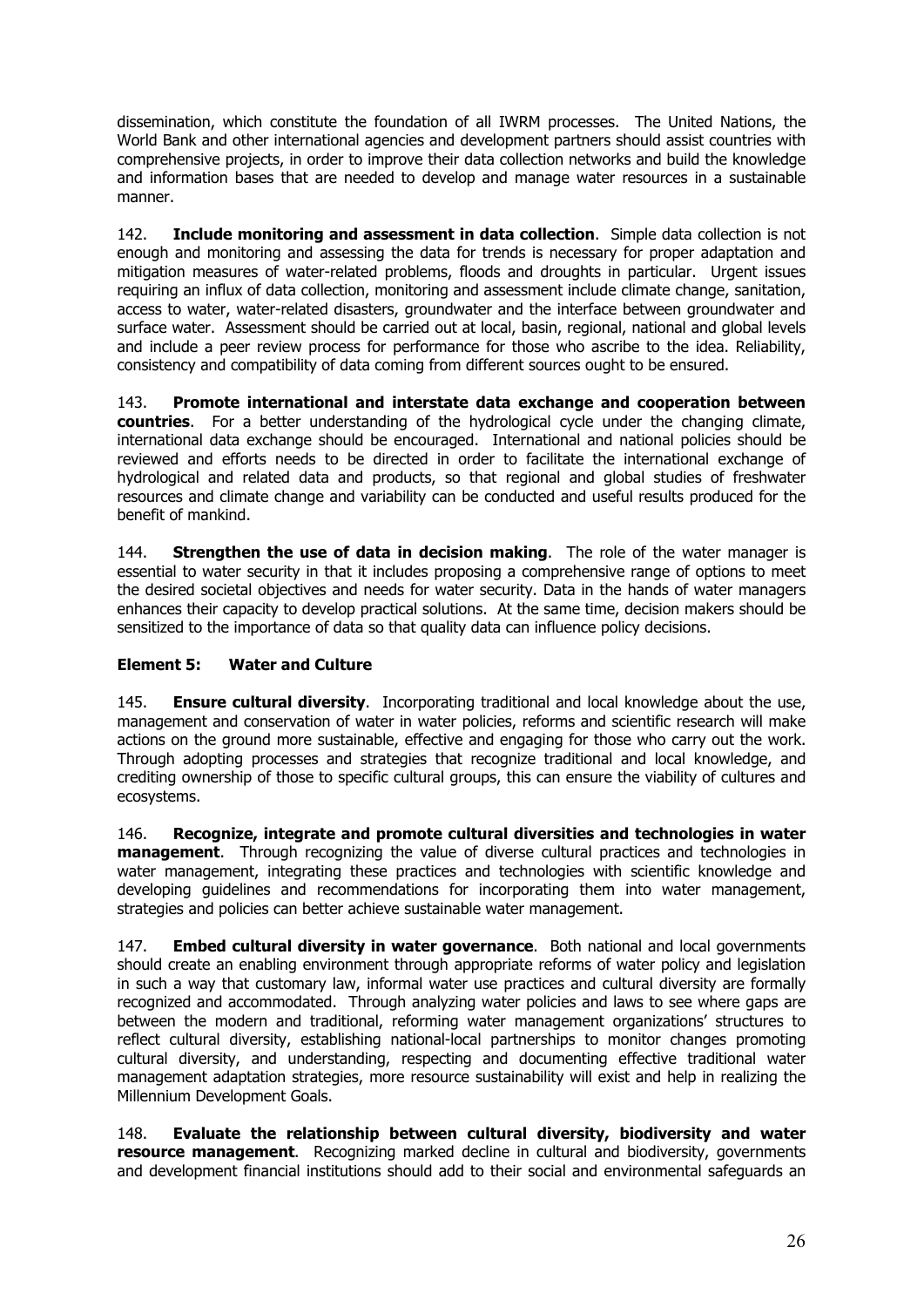<span id="page-25-0"></span>dissemination, which constitute the foundation of all IWRM processes. The United Nations, the World Bank and other international agencies and development partners should assist countries with comprehensive projects, in order to improve their data collection networks and build the knowledge and information bases that are needed to develop and manage water resources in a sustainable manner.

142. **Include monitoring and assessment in data collection**. Simple data collection is not enough and monitoring and assessing the data for trends is necessary for proper adaptation and mitigation measures of water-related problems, floods and droughts in particular. Urgent issues requiring an influx of data collection, monitoring and assessment include climate change, sanitation, access to water, water-related disasters, groundwater and the interface between groundwater and surface water. Assessment should be carried out at local, basin, regional, national and global levels and include a peer review process for performance for those who ascribe to the idea. Reliability, consistency and compatibility of data coming from different sources ought to be ensured.

143. **Promote international and interstate data exchange and cooperation between countries**. For a better understanding of the hydrological cycle under the changing climate, international data exchange should be encouraged. International and national policies should be reviewed and efforts needs to be directed in order to facilitate the international exchange of hydrological and related data and products, so that regional and global studies of freshwater resources and climate change and variability can be conducted and useful results produced for the benefit of mankind.

144. **Strengthen the use of data in decision making**. The role of the water manager is essential to water security in that it includes proposing a comprehensive range of options to meet the desired societal objectives and needs for water security. Data in the hands of water managers enhances their capacity to develop practical solutions. At the same time, decision makers should be sensitized to the importance of data so that quality data can influence policy decisions.

### **Element 5: Water and Culture**

145. **Ensure cultural diversity**. Incorporating traditional and local knowledge about the use, management and conservation of water in water policies, reforms and scientific research will make actions on the ground more sustainable, effective and engaging for those who carry out the work. Through adopting processes and strategies that recognize traditional and local knowledge, and crediting ownership of those to specific cultural groups, this can ensure the viability of cultures and ecosystems.

146. **Recognize, integrate and promote cultural diversities and technologies in water management**. Through recognizing the value of diverse cultural practices and technologies in water management, integrating these practices and technologies with scientific knowledge and developing guidelines and recommendations for incorporating them into water management, strategies and policies can better achieve sustainable water management.

147. **Embed cultural diversity in water governance**. Both national and local governments should create an enabling environment through appropriate reforms of water policy and legislation in such a way that customary law, informal water use practices and cultural diversity are formally recognized and accommodated. Through analyzing water policies and laws to see where gaps are between the modern and traditional, reforming water management organizations' structures to reflect cultural diversity, establishing national-local partnerships to monitor changes promoting cultural diversity, and understanding, respecting and documenting effective traditional water management adaptation strategies, more resource sustainability will exist and help in realizing the Millennium Development Goals.

148. **Evaluate the relationship between cultural diversity, biodiversity and water resource management**. Recognizing marked decline in cultural and biodiversity, governments and development financial institutions should add to their social and environmental safeguards an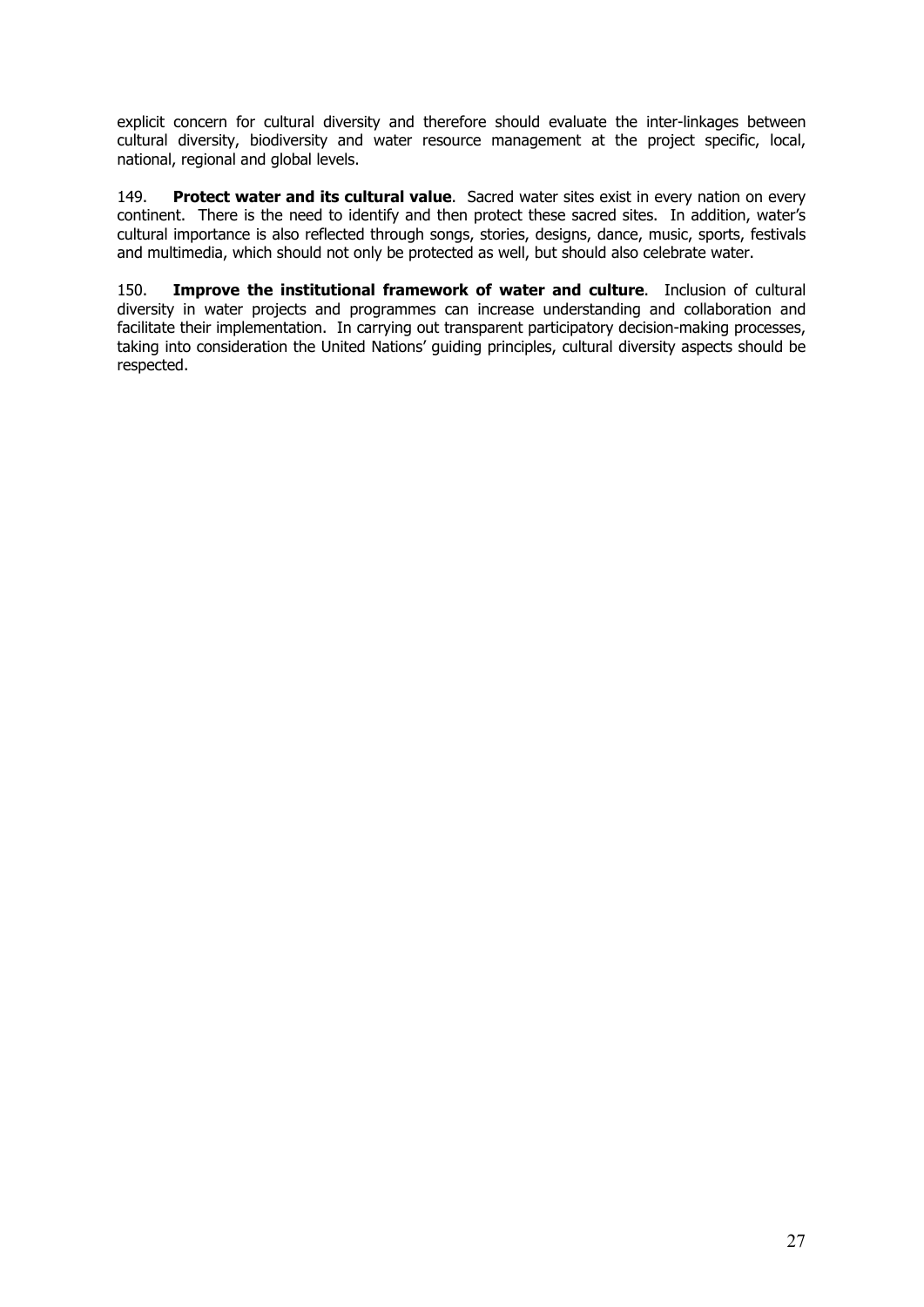explicit concern for cultural diversity and therefore should evaluate the inter-linkages between cultural diversity, biodiversity and water resource management at the project specific, local, national, regional and global levels.

149. **Protect water and its cultural value**. Sacred water sites exist in every nation on every continent. There is the need to identify and then protect these sacred sites. In addition, water's cultural importance is also reflected through songs, stories, designs, dance, music, sports, festivals and multimedia, which should not only be protected as well, but should also celebrate water.

150. **Improve the institutional framework of water and culture**. Inclusion of cultural diversity in water projects and programmes can increase understanding and collaboration and facilitate their implementation. In carrying out transparent participatory decision-making processes, taking into consideration the United Nations' guiding principles, cultural diversity aspects should be respected.